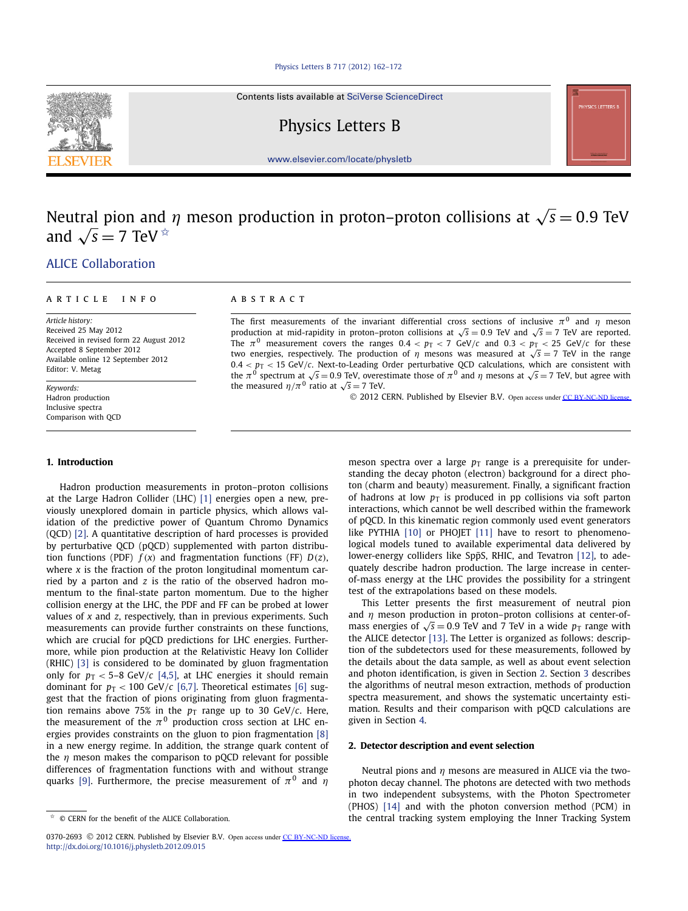Contents lists available at [SciVerse ScienceDirect](http://www.ScienceDirect.com/)

# Physics Letters B

[www.elsevier.com/locate/physletb](http://www.elsevier.com/locate/physletb)

# Neutral pion and *η* meson production in proton–proton collisions at  $\sqrt{s} = 0.9$  TeV and  $\sqrt{s} = 7$  TeV  $*$

[.ALICE Collaboration](#page-5-0)

# article info abstract

*Article history:* Received 25 May 2012 Received in revised form 22 August 2012 Accepted 8 September 2012 Available online 12 September 2012 Editor: V. Metag

*Keywords:* Hadron production Inclusive spectra Comparison with QCD

# **1. Introduction**

Hadron production measurements in proton–proton collisions at the Large Hadron Collider (LHC) [\[1\]](#page-5-0) energies open a new, previously unexplored domain in particle physics, which allows validation of the predictive power of Quantum Chromo Dynamics (QCD) [\[2\].](#page-5-0) A quantitative description of hard processes is provided by perturbative QCD (pQCD) supplemented with parton distribution functions (PDF)  $f(x)$  and fragmentation functions (FF)  $D(z)$ , where *x* is the fraction of the proton longitudinal momentum carried by a parton and *z* is the ratio of the observed hadron momentum to the final-state parton momentum. Due to the higher collision energy at the LHC, the PDF and FF can be probed at lower values of *x* and *z*, respectively, than in previous experiments. Such measurements can provide further constraints on these functions, which are crucial for pQCD predictions for LHC energies. Furthermore, while pion production at the Relativistic Heavy Ion Collider (RHIC) [\[3\]](#page-5-0) is considered to be dominated by gluon fragmentation only for  $p_T < 5-8$  GeV/*c* [\[4,5\],](#page-5-0) at LHC energies it should remain dominant for  $p_T < 100$  GeV/*c* [\[6,7\].](#page-5-0) Theoretical estimates [\[6\]](#page-5-0) suggest that the fraction of pions originating from gluon fragmentation remains above 75% in the  $p_T$  range up to 30 GeV/*c*. Here, the measurement of the  $\pi^0$  production cross section at LHC energies provides constraints on the gluon to pion fragmentation [\[8\]](#page-5-0) in a new energy regime. In addition, the strange quark content of the *η* meson makes the comparison to pQCD relevant for possible differences of fragmentation functions with and without strange quarks [\[9\].](#page-5-0) Furthermore, the precise measurement of *π*<sup>0</sup> and *η*

The first measurements of the invariant differential cross sections of inclusive *π*<sup>0</sup> and *η* meson production at mid-rapidity in proton–proton collisions at  $\sqrt{s} = 0.9$  TeV and  $\sqrt{s} = 7$  TeV are reported. The  $\pi^0$  measurement covers the ranges  $0.4 < p_T < 7$  GeV/*c* and  $0.3 < p_T < 25$  GeV/*c* for these two energies, respectively. The production of *<sup>η</sup>* mesons was measured at <sup>√</sup>*<sup>s</sup>* <sup>=</sup> 7 TeV in the range  $0.4 < p_T < 15$  GeV/c. Next-to-Leading Order perturbative QCD calculations, which are consistent with the *π*<sup>0</sup> spectrum at  $\sqrt{s}$  = 0.9 TeV, overestimate those of *π*<sup>0</sup> and *η* mesons at  $\sqrt{s}$  = 7 TeV, but agree with the measured  $\eta/\pi^0$  ratio at  $\sqrt{s} = 7$  TeV.

© 2012 CERN. Published by Elsevier B.V. Open access under [CC BY-NC-ND license.](http://creativecommons.org/licenses/by-nc-nd/4.0/)

meson spectra over a large  $p<sub>T</sub>$  range is a prerequisite for understanding the decay photon (electron) background for a direct photon (charm and beauty) measurement. Finally, a significant fraction of hadrons at low  $p<sub>T</sub>$  is produced in pp collisions via soft parton interactions, which cannot be well described within the framework of pQCD. In this kinematic region commonly used event generators like PYTHIA [\[10\]](#page-5-0) or PHOJET [\[11\]](#page-5-0) have to resort to phenomenological models tuned to available experimental data delivered by lower-energy colliders like SppS, RHIC, and Tevatron  $[12]$ , to adequately describe hadron production. The large increase in centerof-mass energy at the LHC provides the possibility for a stringent test of the extrapolations based on these models.

This Letter presents the first measurement of neutral pion and *η* meson production in proton–proton collisions at center-ofmass energies of  $\sqrt{s}$  = 0.9 TeV and 7 TeV in a wide  $p_T$  range with the ALICE detector [\[13\].](#page-5-0) The Letter is organized as follows: description of the subdetectors used for these measurements, followed by the details about the data sample, as well as about event selection and photon identification, is given in Section 2. Section [3](#page-1-0) describes the algorithms of neutral meson extraction, methods of production spectra measurement, and shows the systematic uncertainty estimation. Results and their comparison with pQCD calculations are given in Section [4.](#page-3-0)

### **2. Detector description and event selection**

Neutral pions and *η* mesons are measured in ALICE via the twophoton decay channel. The photons are detected with two methods in two independent subsystems, with the Photon Spectrometer (PHOS) [\[14\]](#page-5-0) and with the photon conversion method (PCM) in the central tracking system employing the Inner Tracking System



 $\triangle$  © CERN for the benefit of the ALICE Collaboration.

<sup>0370-2693 © 2012</sup> CERN. Published by Elsevier B.V. Open access under [CC BY-NC-ND license.](http://creativecommons.org/licenses/by-nc-nd/4.0/) <http://dx.doi.org/10.1016/j.physletb.2012.09.015>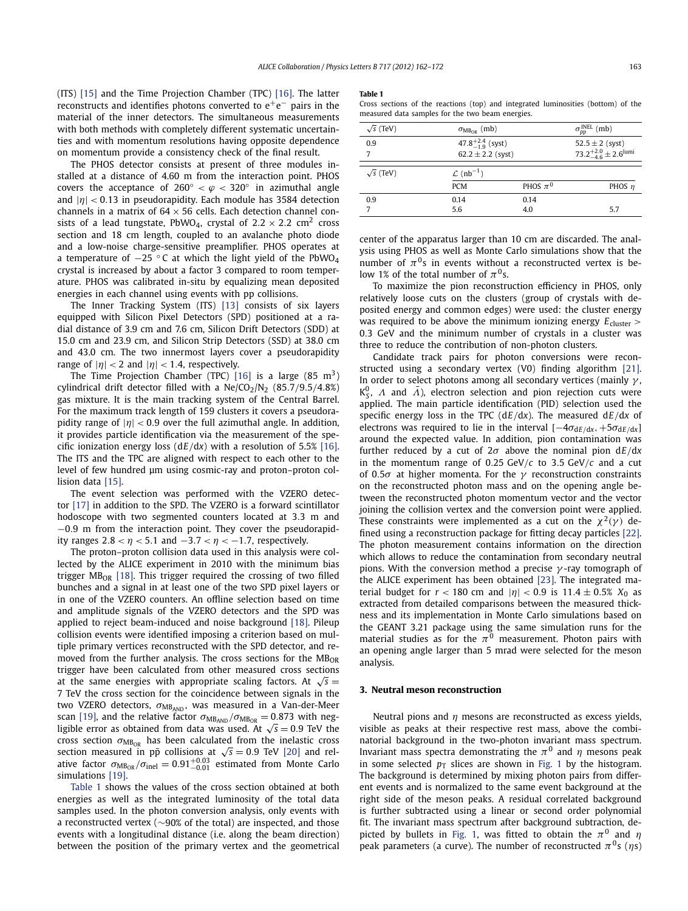<span id="page-1-0"></span>(ITS) [\[15\]](#page-5-0) and the Time Projection Chamber (TPC) [\[16\].](#page-5-0) The latter reconstructs and identifies photons converted to e<sup>+</sup>e<sup>−</sup> pairs in the material of the inner detectors. The simultaneous measurements with both methods with completely different systematic uncertainties and with momentum resolutions having opposite dependence on momentum provide a consistency check of the final result.

The PHOS detector consists at present of three modules installed at a distance of 4.60 m from the interaction point. PHOS covers the acceptance of  $260° < \varphi < 320°$  in azimuthal angle and |*η*| *<* <sup>0</sup>*.*13 in pseudorapidity. Each module has 3584 detection channels in a matrix of  $64 \times 56$  cells. Each detection channel consists of a lead tungstate, PbWO<sub>4</sub>, crystal of  $2.2 \times 2.2$  cm<sup>2</sup> cross section and 18 cm length, coupled to an avalanche photo diode and a low-noise charge-sensitive preamplifier. PHOS operates at a temperature of  $-25$  °C at which the light yield of the PbWO<sub>4</sub> crystal is increased by about a factor 3 compared to room temperature. PHOS was calibrated in-situ by equalizing mean deposited energies in each channel using events with pp collisions.

The Inner Tracking System (ITS) [\[13\]](#page-5-0) consists of six layers equipped with Silicon Pixel Detectors (SPD) positioned at a radial distance of 3.9 cm and 7.6 cm, Silicon Drift Detectors (SDD) at 15.0 cm and 23.9 cm, and Silicon Strip Detectors (SSD) at 38.0 cm and 43.0 cm. The two innermost layers cover a pseudorapidity range of  $|\eta|$  < 2 and  $|\eta|$  < 1.4, respectively.

The Time Projection Chamber (TPC) [\[16\]](#page-5-0) is a large (85  $m<sup>3</sup>$ ) cylindrical drift detector filled with a Ne/CO2/N2 (85*.*7*/*9*.*5*/*4*.*8%) gas mixture. It is the main tracking system of the Central Barrel. For the maximum track length of 159 clusters it covers a pseudorapidity range of |*η*| *<* <sup>0</sup>*.*9 over the full azimuthal angle. In addition, it provides particle identification via the measurement of the specific ionization energy loss (d*E/*d*x*) with a resolution of 5.5% [\[16\].](#page-5-0) The ITS and the TPC are aligned with respect to each other to the level of few hundred μm using cosmic-ray and proton–proton col-lision data [\[15\].](#page-5-0)

The event selection was performed with the VZERO detector [\[17\]](#page-5-0) in addition to the SPD. The VZERO is a forward scintillator hodoscope with two segmented counters located at 3*.*3 m and −0*.*9 m from the interaction point. They cover the pseudorapidity ranges  $2.8 < \eta < 5.1$  and  $-3.7 < \eta < -1.7$ , respectively.

The proton–proton collision data used in this analysis were collected by the ALICE experiment in 2010 with the minimum bias trigger MB<sub>OR</sub> [\[18\].](#page-5-0) This trigger required the crossing of two filled bunches and a signal in at least one of the two SPD pixel layers or in one of the VZERO counters. An offline selection based on time and amplitude signals of the VZERO detectors and the SPD was applied to reject beam-induced and noise background [\[18\].](#page-5-0) Pileup collision events were identified imposing a criterion based on multiple primary vertices reconstructed with the SPD detector, and removed from the further analysis. The cross sections for the  $MB<sub>OR</sub>$ trigger have been calculated from other measured cross sections at the same energies with appropriate scaling factors. At  $\sqrt{s}$  = 7 TeV the cross section for the coincidence between signals in the two VZERO detectors,  $\sigma_{MB_{AND}}$ , was measured in a Van-der-Meer scan [\[19\],](#page-5-0) and the relative factor  $\sigma_{MB_{AND}}/\sigma_{MB_{OR}} = 0.873$  with negligible error as obtained from data was used. At  $\sqrt{s} = 0.9$  TeV the cross section  $σ_{MBoR}$  has been calculated from the inelastic cross section measured in pp collisions at  $\sqrt{s} = 0.9$  TeV [\[20\]](#page-5-0) and relative factor  $\sigma_{MB_{OR}}/\sigma_{\text{inel}} = 0.91^{+0.03}_{-0.01}$  estimated from Monte Carlo simulations [\[19\].](#page-5-0)

Table 1 shows the values of the cross section obtained at both energies as well as the integrated luminosity of the total data samples used. In the photon conversion analysis, only events with a reconstructed vertex (∼90% of the total) are inspected, and those events with a longitudinal distance (i.e. along the beam direction) between the position of the primary vertex and the geometrical

#### **Table 1**

Cross sections of the reactions (top) and integrated luminosities (bottom) of the measured data samples for the two beam energies.

| $\sqrt{s}$ (TeV) | $\sigma_{MB_{OR}}$ (mb)                              |              | $\sigma_{\text{pp}}^{\text{INEL}}$ (mb)                            |  |
|------------------|------------------------------------------------------|--------------|--------------------------------------------------------------------|--|
| 0.9<br>7         | 47.8 <sup>+2.4</sup> (syst)<br>$62.2 \pm 2.2$ (syst) |              | $52.5 \pm 2$ (syst)<br>73.2 $^{+2.0}_{-4.6}$ ± 2.6 <sup>lumi</sup> |  |
|                  |                                                      |              |                                                                    |  |
| $\sqrt{s}$ (TeV) | $\mathcal{L}$ (nb <sup>-1</sup> )                    |              |                                                                    |  |
|                  | <b>PCM</b>                                           | PHOS $\pi^0$ | PHOS $n$                                                           |  |
| 0.9              | 0.14                                                 | 0.14         |                                                                    |  |
| 7                | 5.6                                                  | 4.0          | 5.7                                                                |  |

center of the apparatus larger than 10 cm are discarded. The analysis using PHOS as well as Monte Carlo simulations show that the number of  $\pi^{0}$ s in events without a reconstructed vertex is below 1% of the total number of  $\pi^{0}$ s.

To maximize the pion reconstruction efficiency in PHOS, only relatively loose cuts on the clusters (group of crystals with deposited energy and common edges) were used: the cluster energy was required to be above the minimum ionizing energy *E*cluster *>* 0*.*3 GeV and the minimum number of crystals in a cluster was three to reduce the contribution of non-photon clusters.

Candidate track pairs for photon conversions were reconstructed using a secondary vertex (V0) finding algorithm [\[21\].](#page-5-0) In order to select photons among all secondary vertices (mainly *γ* ,  $K_S^0$ , *Λ* and  $\bar{A}$ ), electron selection and pion rejection cuts were applied. The main particle identification (PID) selection used the specific energy loss in the TPC ( $dE/dx$ ). The measured  $dE/dx$  of electrons was required to lie in the interval  $[-4\sigma_{dE/dx}, +5\sigma_{dE/dx}]$ around the expected value. In addition, pion contamination was further reduced by a cut of 2*σ* above the nominal pion d*E/*d*x* in the momentum range of 0*.*25 GeV*/c* to 3*.*5 GeV*/c* and a cut of 0*.*5*σ* at higher momenta. For the *γ* reconstruction constraints on the reconstructed photon mass and on the opening angle between the reconstructed photon momentum vector and the vector joining the collision vertex and the conversion point were applied. These constraints were implemented as a cut on the  $\chi^2(\gamma)$  defined using a reconstruction package for fitting decay particles [\[22\].](#page-5-0) The photon measurement contains information on the direction which allows to reduce the contamination from secondary neutral pions. With the conversion method a precise *γ* -ray tomograph of the ALICE experiment has been obtained [\[23\].](#page-5-0) The integrated material budget for  $r < 180$  cm and  $|\eta| < 0.9$  is  $11.4 \pm 0.5\%$   $X_0$  as extracted from detailed comparisons between the measured thickness and its implementation in Monte Carlo simulations based on the GEANT 3.21 package using the same simulation runs for the material studies as for the  $\pi^0$  measurement. Photon pairs with an opening angle larger than 5 mrad were selected for the meson analysis.

#### **3. Neutral meson reconstruction**

Neutral pions and *η* mesons are reconstructed as excess yields, visible as peaks at their respective rest mass, above the combinatorial background in the two-photon invariant mass spectrum. Invariant mass spectra demonstrating the  $\pi^0$  and  $\eta$  mesons peak in some selected  $p<sub>T</sub>$  slices are shown in [Fig. 1](#page-2-0) by the histogram. The background is determined by mixing photon pairs from different events and is normalized to the same event background at the right side of the meson peaks. A residual correlated background is further subtracted using a linear or second order polynomial fit. The invariant mass spectrum after background subtraction, de-picted by bullets in [Fig. 1,](#page-2-0) was fitted to obtain the  $\pi^0$  and  $\eta$ peak parameters (a curve). The number of reconstructed  $\pi^{0}$ s (*η*s)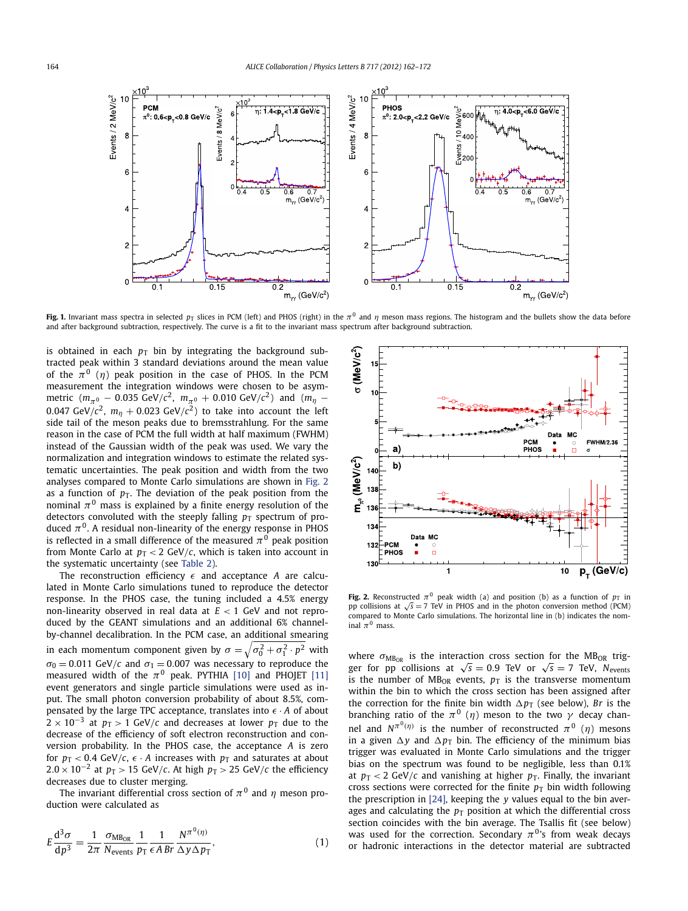<span id="page-2-0"></span>

**Fig. 1.** Invariant mass spectra in selected  $p<sub>T</sub>$  slices in PCM (left) and PHOS (right) in the  $\pi<sup>0</sup>$  and  $\eta$  meson mass regions. The histogram and the bullets show the data before and after background subtraction, respectively. The curve is a fit to the invariant mass spectrum after background subtraction.

is obtained in each  $p_T$  bin by integrating the background subtracted peak within 3 standard deviations around the mean value of the  $\pi^{0}$  ( $\eta$ ) peak position in the case of PHOS. In the PCM measurement the integration windows were chosen to be asymmetric ( $m_{\pi^0}$  – 0.035 GeV/ $c^2$ ,  $m_{\pi^0}$  + 0.010 GeV/ $c^2$ ) and ( $m_{\eta}$  – 0.047 GeV/ $c^2$ ,  $m_\eta + 0.023$  GeV/ $c^2$ ) to take into account the left side tail of the meson peaks due to bremsstrahlung. For the same reason in the case of PCM the full width at half maximum (FWHM) instead of the Gaussian width of the peak was used. We vary the normalization and integration windows to estimate the related systematic uncertainties. The peak position and width from the two analyses compared to Monte Carlo simulations are shown in Fig. 2 as a function of  $p<sub>T</sub>$ . The deviation of the peak position from the nominal  $\pi^0$  mass is explained by a finite energy resolution of the detectors convoluted with the steeply falling  $p_T$  spectrum of produced  $\pi^0$ . A residual non-linearity of the energy response in PHOS is reflected in a small difference of the measured  $\pi^0$  peak position from Monte Carlo at  $p_T < 2$  GeV/c, which is taken into account in the systematic uncertainty (see [Table 2\)](#page-3-0).

The reconstruction efficiency  $\epsilon$  and acceptance *A* are calculated in Monte Carlo simulations tuned to reproduce the detector response. In the PHOS case, the tuning included a 4.5% energy non-linearity observed in real data at *E <* 1 GeV and not reproduced by the GEANT simulations and an additional 6% channelby-channel decalibration. In the PCM case, an additional smearing in each momentum component given by  $\sigma = \sqrt{\sigma_0^2 + \sigma_1^2 \cdot p^2}$  with  $\sigma_0 = 0.011$  GeV/*c* and  $\sigma_1 = 0.007$  was necessary to reproduce the  $\sigma_0 = 0.011 \text{ GeV/c}$  and  $\sigma_1 = 0.567 \text{ cm}$  measured width of the  $\pi^0$  peak. PYTHIA [\[10\]](#page-5-0) and PHOJET [\[11\]](#page-5-0) event generators and single particle simulations were used as input. The small photon conversion probability of about 8.5%, compensated by the large TPC acceptance, translates into  $\epsilon \cdot A$  of about  $2 \times 10^{-3}$  at  $p_T > 1$  GeV/*c* and decreases at lower  $p_T$  due to the decrease of the efficiency of soft electron reconstruction and conversion probability. In the PHOS case, the acceptance *A* is zero for  $p_T < 0.4$  GeV/*c*,  $\epsilon \cdot A$  increases with  $p_T$  and saturates at about  $2.0 \times 10^{-2}$  at  $p_T > 15$  GeV/*c*. At high  $p_T > 25$  GeV/*c* the efficiency decreases due to cluster merging.

The invariant differential cross section of  $\pi^0$  and  $\eta$  meson production were calculated as

$$
E\frac{\mathrm{d}^3\sigma}{\mathrm{d}p^3} = \frac{1}{2\pi} \frac{\sigma_{\text{MB}_{\text{OR}}}}{N_{\text{events}}} \frac{1}{p_{\text{T}}} \frac{1}{\epsilon ABr} \frac{N^{\pi^0(\eta)}}{\Delta y \Delta p_{\text{T}}},\tag{1}
$$



**Fig. 2.** Reconstructed  $\pi^0$  peak width (a) and position (b) as a function of  $p_T$  in pp collisions at  $\sqrt{s}$  = 7 TeV in PHOS and in the photon conversion method (PCM) compared to Monte Carlo simulations. The horizontal line in (b) indicates the nominal  $\pi^0$  mass.

where  $\sigma_{MB_{OR}}$  is the interaction cross section for the MB<sub>OR</sub> trigger for pp collisions at  $\sqrt{s} = 0.9$  TeV or  $\sqrt{s} = 7$  TeV,  $N_{\text{events}}$ is the number of  $MB<sub>OR</sub>$  events,  $p<sub>T</sub>$  is the transverse momentum within the bin to which the cross section has been assigned after the correction for the finite bin width  $\Delta p_T$  (see below), *Br* is the branching ratio of the  $\pi^0$  (*η*) meson to the two *γ* decay channel and  $N^{\pi^0(\eta)}$  is the number of reconstructed  $\pi^0$  (*η*) mesons in a given  $\Delta y$  and  $\Delta p$ <sub>T</sub> bin. The efficiency of the minimum bias trigger was evaluated in Monte Carlo simulations and the trigger bias on the spectrum was found to be negligible, less than 0.1% at  $p_T < 2$  GeV/*c* and vanishing at higher  $p_T$ . Finally, the invariant cross sections were corrected for the finite  $p_T$  bin width following the prescription in [\[24\],](#page-5-0) keeping the *y* values equal to the bin averages and calculating the  $p_T$  position at which the differential cross section coincides with the bin average. The Tsallis fit (see below) was used for the correction. Secondary  $\pi^0$ 's from weak decays or hadronic interactions in the detector material are subtracted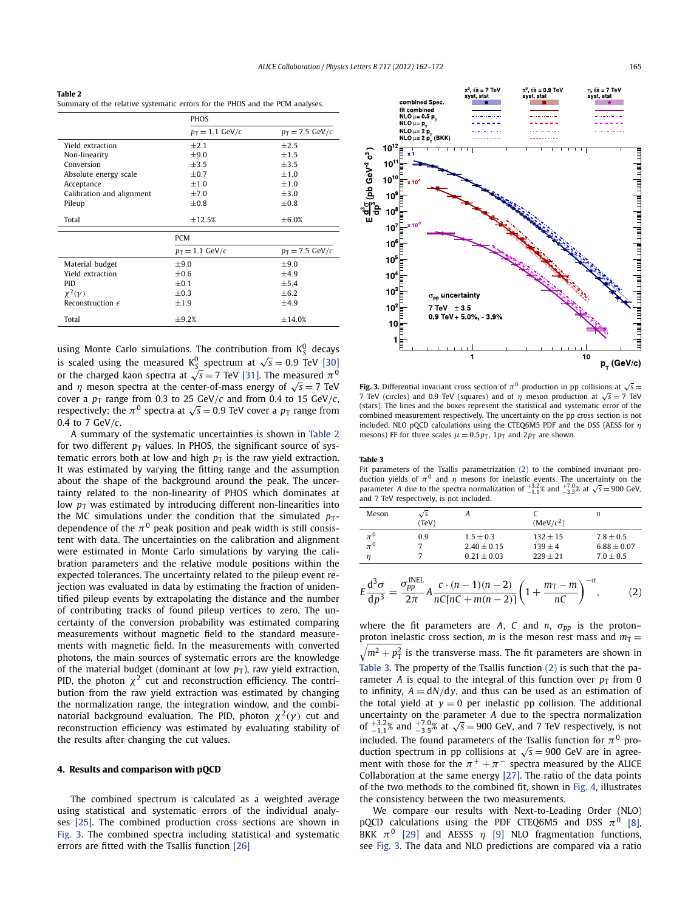<span id="page-3-0"></span>**Table 2** Summary of the relative systematic errors for the PHOS and the PCM analyses.

|                           | PHOS                      |                           |  |
|---------------------------|---------------------------|---------------------------|--|
|                           | $p_T = 1.1 \text{ GeV}/c$ | $p_T = 7.5 \text{ GeV}/c$ |  |
| Yield extraction          | $+2.1$                    | $+2.5$                    |  |
| Non-linearity             | $+9.0$                    | $+1.5$                    |  |
| Conversion                | $\pm$ 3.5                 | $+3.5$                    |  |
| Absolute energy scale     | $+0.7$                    | $\pm 1.0$                 |  |
| Acceptance                | $\pm 1.0$                 | $\pm 1.0$                 |  |
| Calibration and alignment | $\pm 7.0$                 | $\pm 3.0$                 |  |
| Pileup                    | $\pm 0.8$                 | $\pm 0.8$                 |  |
| Total                     | ±12.5%                    | $\pm 6.0%$                |  |
|                           | <b>PCM</b>                |                           |  |
|                           | $p_T = 1.1 \text{ GeV}/c$ | $p_T = 7.5 \text{ GeV}/c$ |  |
| Material budget           | $+9.0$                    | $\pm 9.0$                 |  |
| Yield extraction          | $\pm 0.6$                 | $\pm 4.9$                 |  |
| <b>PID</b>                | $\pm 0.1$                 | $\pm$ 5.4                 |  |
| $\chi^2(\gamma)$          | $+0.3$                    | $\pm 6.2$                 |  |
| Reconstruction $\epsilon$ | $\pm 1.9$                 | $\pm 4.9$                 |  |
| Total                     | $\pm$ 9.2%                | ±14.0%                    |  |

using Monte Carlo simulations. The contribution from K<sup>0</sup><sub>S</sub> decays is scaled using the measured  $K_S^0$  spectrum at  $\sqrt{s} = 0.9$  TeV [\[30\]](#page-5-0) or the charged kaon spectra at  $\sqrt{s}$  = 7 TeV [\[31\].](#page-5-0) The measured  $\pi^0$ and *η* meson spectra at the center-of-mass energy of  $\sqrt{s} = 7$  TeV cover a  $p_T$  range from 0.3 to 25 GeV/*c* and from 0.4 to 15 GeV/*c*, respectively; the  $\pi^0$  spectra at  $\sqrt{s} = 0.9$  TeV cover a  $p_T$  range from 0.4 to 7 GeV*/c*.

A summary of the systematic uncertainties is shown in Table 2 for two different  $p_T$  values. In PHOS, the significant source of systematic errors both at low and high  $p<sub>T</sub>$  is the raw yield extraction. It was estimated by varying the fitting range and the assumption about the shape of the background around the peak. The uncertainty related to the non-linearity of PHOS which dominates at low  $p<sub>T</sub>$  was estimated by introducing different non-linearities into the MC simulations under the condition that the simulated  $p_T$ dependence of the  $\pi^0$  peak position and peak width is still consistent with data. The uncertainties on the calibration and alignment were estimated in Monte Carlo simulations by varying the calibration parameters and the relative module positions within the expected tolerances. The uncertainty related to the pileup event rejection was evaluated in data by estimating the fraction of unidentified pileup events by extrapolating the distance and the number of contributing tracks of found pileup vertices to zero. The uncertainty of the conversion probability was estimated comparing measurements without magnetic field to the standard measurements with magnetic field. In the measurements with converted photons, the main sources of systematic errors are the knowledge of the material budget (dominant at low  $p<sub>T</sub>$ ), raw yield extraction, PID, the photon  $\chi^2$  cut and reconstruction efficiency. The contribution from the raw yield extraction was estimated by changing the normalization range, the integration window, and the combinatorial background evaluation. The PID, photon  $\chi^2(\gamma)$  cut and reconstruction efficiency was estimated by evaluating stability of the results after changing the cut values.

### **4. Results and comparison with pQCD**

The combined spectrum is calculated as a weighted average using statistical and systematic errors of the individual analyses [\[25\].](#page-5-0) The combined production cross sections are shown in Fig. 3. The combined spectra including statistical and systematic errors are fitted with the Tsallis function [\[26\]](#page-5-0)



**Fig. 3.** Differential invariant cross section of  $\pi^0$  production in pp collisions at  $\sqrt{s}$  = 7 TeV (circles) and 0.9 TeV (squares) and of  $\eta$  meson production at  $\sqrt{s} = 7$  TeV (stars). The lines and the boxes represent the statistical and systematic error of the combined measurement respectively. The uncertainty on the pp cross section is not included. NLO pQCD calculations using the CTEQ6M5 PDF and the DSS (AESS for *η* mesons) FF for three scales  $\mu = 0.5p_T$ , 1 $p_T$  and 2 $p_T$  are shown.

**Table 3**

Fit parameters of the Tsallis parametrization (2) to the combined invariant production yields of  $\pi^0$  and  $\eta$  mesons for inelastic events. The uncertainty on the parameter *A* due to the spectra normalization of  $^{+3.2}_{-1.1}$ % and  $^{+7.0}_{-3.5}$ % at  $\sqrt{s} = 900$  GeV, and 7 TeV respectively, is not included.

| Meson   | $\sqrt{s}$<br>(TeV) |               | (MeV/c <sup>2</sup> ) |               |
|---------|---------------------|---------------|-----------------------|---------------|
| $\pi^0$ | 0.9                 | $1.5 + 0.3$   | $132 + 15$            | $7.8 + 0.5$   |
| $\pi^0$ |                     | $2.40 + 0.15$ | $139 + 4$             | $6.88 + 0.07$ |
|         |                     | $0.21 + 0.03$ | $229 + 21$            | $7.0 + 0.5$   |

$$
E\frac{d^3\sigma}{dp^3} = \frac{\sigma_{pp}^{INEL}}{2\pi} A \frac{c \cdot (n-1)(n-2)}{nC[nC+m(n-2)]} \left(1 + \frac{m_T - m}{nC}\right)^{-n},
$$
 (2)

where the fit parameters are *A*, *C* and *n*,  $\sigma_{pp}$  is the proton– proton inelastic cross section, *m* is the meson rest mass and  $m<sub>T</sub> =$  $\sqrt{m^2+p_{\rm T}^2}$  is the transverse mass. The fit parameters are shown in Table 3. The property of the Tsallis function (2) is such that the parameter *A* is equal to the integral of this function over  $p<sub>T</sub>$  from 0 to infinity,  $A = dN/dy$ , and thus can be used as an estimation of the total yield at  $y = 0$  per inelastic pp collision. The additional uncertainty on the parameter *A* due to the spectra normalization of  $+3.2\%$  and  $-3.5\%$  at  $\sqrt{s} = 900$  GeV, and 7 TeV respectively, is not included. The found parameters of the Tsallis function for  $\pi^0$  production spectrum in pp collisions at  $\sqrt{s} = 900$  GeV are in agreement with those for the  $\pi^+ + \pi^-$  spectra measured by the ALICE Collaboration at the same energy [\[27\].](#page-5-0) The ratio of the data points of the two methods to the combined fit, shown in [Fig. 4,](#page-4-0) illustrates the consistency between the two measurements.

We compare our results with Next-to-Leading Order (NLO) pQCD calculations using the PDF CTEQ6M5 and DSS  $\pi^0$  [\[8\],](#page-5-0) BKK  $π<sup>0</sup>$  [\[29\]](#page-5-0) and AESSS *η* [\[9\]](#page-5-0) NLO fragmentation functions, see Fig. 3. The data and NLO predictions are compared via a ratio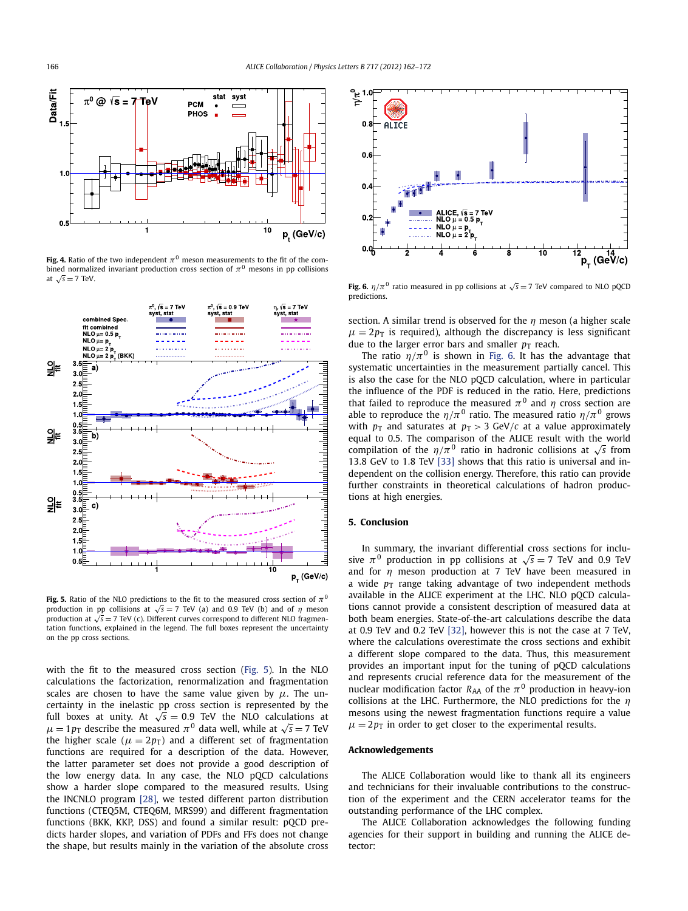<span id="page-4-0"></span>

**Fig. 4.** Ratio of the two independent  $\pi^0$  meson measurements to the fit of the combined normalized invariant production cross section of  $\pi^0$  mesons in pp collisions at  $\sqrt{s}$  = 7 TeV.



**Fig. 5.** Ratio of the NLO predictions to the fit to the measured cross section of *π*<sup>0</sup> production in pp collisions at  $\sqrt{s} = 7$  TeV (a) and 0.9 TeV (b) and of  $\eta$  meson production at <sup>√</sup>*<sup>s</sup>* <sup>=</sup> 7 TeV (c). Different curves correspond to different NLO fragmentation functions, explained in the legend. The full boxes represent the uncertainty on the pp cross sections.

with the fit to the measured cross section (Fig. 5). In the NLO calculations the factorization, renormalization and fragmentation scales are chosen to have the same value given by  $\mu$ . The uncertainty in the inelastic pp cross section is represented by the full boxes at unity. At  $\sqrt{s} = 0.9$  TeV the NLO calculations at *μ* = 1*p*<sub>T</sub> describe the measured  $π<sup>0</sup>$  data well, while at  $\sqrt{s}$  = 7 TeV the higher scale ( $\mu = 2p_T$ ) and a different set of fragmentation functions are required for a description of the data. However, the latter parameter set does not provide a good description of the low energy data. In any case, the NLO pQCD calculations show a harder slope compared to the measured results. Using the INCNLO program [\[28\],](#page-5-0) we tested different parton distribution functions (CTEQ5M, CTEQ6M, MRS99) and different fragmentation functions (BKK, KKP, DSS) and found a similar result: pQCD predicts harder slopes, and variation of PDFs and FFs does not change the shape, but results mainly in the variation of the absolute cross



**Fig. 6.**  $\eta/\pi^0$  ratio measured in pp collisions at  $\sqrt{s} = 7$  TeV compared to NLO pQCD predictions.

section. A similar trend is observed for the *η* meson (a higher scale  $\mu = 2p_T$  is required), although the discrepancy is less significant due to the larger error bars and smaller  $p_T$  reach.

The ratio  $\eta/\pi^0$  is shown in Fig. 6. It has the advantage that systematic uncertainties in the measurement partially cancel. This is also the case for the NLO pQCD calculation, where in particular the influence of the PDF is reduced in the ratio. Here, predictions that failed to reproduce the measured  $\pi^0$  and  $\eta$  cross section are able to reproduce the  $\eta/\pi^0$  ratio. The measured ratio  $\eta/\pi^0$  grows with  $p_T$  and saturates at  $p_T > 3$  GeV/*c* at a value approximately equal to 0.5. The comparison of the ALICE result with the world compilation of the  $\eta/\pi^0$  ratio in hadronic collisions at  $\sqrt{s}$  from 13*.*8 GeV to 1*.*8 TeV [\[33\]](#page-5-0) shows that this ratio is universal and independent on the collision energy. Therefore, this ratio can provide further constraints in theoretical calculations of hadron productions at high energies.

# **5. Conclusion**

In summary, the invariant differential cross sections for inclusive  $\pi^0$  production in pp collisions at  $\sqrt{s} = 7$  TeV and 0.9 TeV and for *η* meson production at 7 TeV have been measured in a wide  $p_T$  range taking advantage of two independent methods available in the ALICE experiment at the LHC. NLO pQCD calculations cannot provide a consistent description of measured data at both beam energies. State-of-the-art calculations describe the data at 0.9 TeV and 0.2 TeV [\[32\],](#page-5-0) however this is not the case at 7 TeV, where the calculations overestimate the cross sections and exhibit a different slope compared to the data. Thus, this measurement provides an important input for the tuning of pQCD calculations and represents crucial reference data for the measurement of the nuclear modification factor  $R_{AA}$  of the  $\pi^0$  production in heavy-ion collisions at the LHC. Furthermore, the NLO predictions for the *η* mesons using the newest fragmentation functions require a value  $\mu = 2p_T$  in order to get closer to the experimental results.

# **Acknowledgements**

The ALICE Collaboration would like to thank all its engineers and technicians for their invaluable contributions to the construction of the experiment and the CERN accelerator teams for the outstanding performance of the LHC complex.

The ALICE Collaboration acknowledges the following funding agencies for their support in building and running the ALICE detector: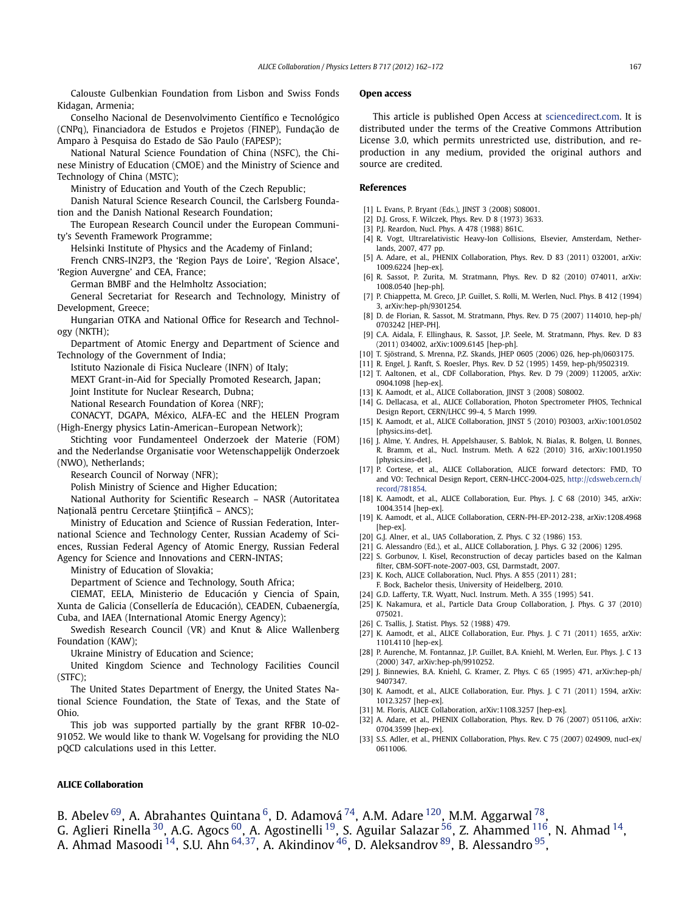<span id="page-5-0"></span>Calouste Gulbenkian Foundation from Lisbon and Swiss Fonds Kidagan, Armenia;

Conselho Nacional de Desenvolvimento Científico e Tecnológico (CNPq), Financiadora de Estudos e Projetos (FINEP), Fundação de Amparo à Pesquisa do Estado de São Paulo (FAPESP);

National Natural Science Foundation of China (NSFC), the Chinese Ministry of Education (CMOE) and the Ministry of Science and Technology of China (MSTC);

Ministry of Education and Youth of the Czech Republic;

Danish Natural Science Research Council, the Carlsberg Foundation and the Danish National Research Foundation;

The European Research Council under the European Community's Seventh Framework Programme;

Helsinki Institute of Physics and the Academy of Finland;

French CNRS-IN2P3, the 'Region Pays de Loire', 'Region Alsace', 'Region Auvergne' and CEA, France;

German BMBF and the Helmholtz Association;

General Secretariat for Research and Technology, Ministry of Development, Greece;

Hungarian OTKA and National Office for Research and Technology (NKTH);

Department of Atomic Energy and Department of Science and Technology of the Government of India;

Istituto Nazionale di Fisica Nucleare (INFN) of Italy;

MEXT Grant-in-Aid for Specially Promoted Research, Japan;

Joint Institute for Nuclear Research, Dubna;

National Research Foundation of Korea (NRF);

CONACYT, DGAPA, México, ALFA-EC and the HELEN Program (High-Energy physics Latin-American–European Network);

Stichting voor Fundamenteel Onderzoek der Materie (FOM) and the Nederlandse Organisatie voor Wetenschappelijk Onderzoek (NWO), Netherlands;

Research Council of Norway (NFR);

Polish Ministry of Science and Higher Education;

National Authority for Scientific Research – NASR (Autoritatea Națională pentru Cercetare Științifică – ANCS);

Ministry of Education and Science of Russian Federation, International Science and Technology Center, Russian Academy of Sciences, Russian Federal Agency of Atomic Energy, Russian Federal Agency for Science and Innovations and CERN-INTAS;

Ministry of Education of Slovakia;

Department of Science and Technology, South Africa;

CIEMAT, EELA, Ministerio de Educación y Ciencia of Spain, Xunta de Galicia (Consellería de Educación), CEADEN, Cubaenergía, Cuba, and IAEA (International Atomic Energy Agency);

Swedish Research Council (VR) and Knut & Alice Wallenberg Foundation (KAW);

Ukraine Ministry of Education and Science;

United Kingdom Science and Technology Facilities Council (STFC);

The United States Department of Energy, the United States National Science Foundation, the State of Texas, and the State of Ohio.

This job was supported partially by the grant RFBR 10-02- 91052. We would like to thank W. Vogelsang for providing the NLO pQCD calculations used in this Letter.

# **Open access**

This article is published Open Access at [sciencedirect.com.](http://www.sciencedirect.com) It is distributed under the terms of the Creative Commons Attribution License 3.0, which permits unrestricted use, distribution, and reproduction in any medium, provided the original authors and source are credited.

# **References**

- [1] L. Evans, P. Bryant (Eds.), JINST 3 (2008) S08001.
- [2] D.J. Gross, F. Wilczek, Phys. Rev. D 8 (1973) 3633.
- [3] P.J. Reardon, Nucl. Phys. A 478 (1988) 861C.
- [4] R. Vogt, Ultrarelativistic Heavy-Ion Collisions, Elsevier, Amsterdam, Netherlands, 2007, 477 pp.
- [5] A. Adare, et al., PHENIX Collaboration, Phys. Rev. D 83 (2011) 032001, arXiv: 1009.6224 [hep-ex].
- [6] R. Sassot, P. Zurita, M. Stratmann, Phys. Rev. D 82 (2010) 074011, arXiv: 1008.0540 [hep-ph].
- [7] P. Chiappetta, M. Greco, J.P. Guillet, S. Rolli, M. Werlen, Nucl. Phys. B 412 (1994) 3, arXiv:hep-ph/9301254.
- [8] D. de Florian, R. Sassot, M. Stratmann, Phys. Rev. D 75 (2007) 114010, hep-ph/ 0703242 [HEP-PH].
- [9] C.A. Aidala, F. Ellinghaus, R. Sassot, J.P. Seele, M. Stratmann, Phys. Rev. D 83 (2011) 034002, arXiv:1009.6145 [hep-ph].
- [10] T. Sjöstrand, S. Mrenna, P.Z. Skands, JHEP 0605 (2006) 026, hep-ph/0603175.

[11] R. Engel, J. Ranft, S. Roesler, Phys. Rev. D 52 (1995) 1459, hep-ph/9502319.

- [12] T. Aaltonen, et al., CDF Collaboration, Phys. Rev. D 79 (2009) 112005, arXiv: 0904.1098 [hep-ex].
- [13] K. Aamodt, et al., ALICE Collaboration, JINST 3 (2008) S08002.
- [14] G. Dellacasa, et al., ALICE Collaboration, Photon Spectrometer PHOS, Technical Design Report, CERN/LHCC 99-4, 5 March 1999.
- [15] K. Aamodt, et al., ALICE Collaboration, JINST 5 (2010) P03003, arXiv:1001.0502 [physics.ins-det].
- [16] J. Alme, Y. Andres, H. Appelshauser, S. Bablok, N. Bialas, R. Bolgen, U. Bonnes, R. Bramm, et al., Nucl. Instrum. Meth. A 622 (2010) 316, arXiv:1001.1950 [physics.ins-det].
- [17] P. Cortese, et al., ALICE Collaboration, ALICE forward detectors: FMD, TO and VO: Technical Design Report, CERN-LHCC-2004-025, [http://cdsweb.cern.ch/](http://cdsweb.cern.ch/record/781854) [record/781854.](http://cdsweb.cern.ch/record/781854)
- [18] K. Aamodt, et al., ALICE Collaboration, Eur. Phys. J. C 68 (2010) 345, arXiv: 1004.3514 [hep-ex].
- [19] K. Aamodt, et al., ALICE Collaboration, CERN-PH-EP-2012-238, arXiv:1208.4968 [hep-ex].
- [20] G.J. Alner, et al., UA5 Collaboration, Z. Phys. C 32 (1986) 153.
- [21] G. Alessandro (Ed.), et al., ALICE Collaboration, J. Phys. G 32 (2006) 1295.
- [22] S. Gorbunov, I. Kisel, Reconstruction of decay particles based on the Kalman filter, CBM-SOFT-note-2007-003, GSI, Darmstadt, 2007.
- [23] K. Koch, ALICE Collaboration, Nucl. Phys. A 855 (2011) 281;
- F. Bock, Bachelor thesis, University of Heidelberg, 2010.
- [24] G.D. Lafferty, T.R. Wyatt, Nucl. Instrum. Meth. A 355 (1995) 541.
- [25] K. Nakamura, et al., Particle Data Group Collaboration, J. Phys. G 37 (2010)
- 075021.
- [26] C. Tsallis, J. Statist. Phys. 52 (1988) 479.
- [27] K. Aamodt, et al., ALICE Collaboration, Eur. Phys. J. C 71 (2011) 1655, arXiv: 1101.4110 [hep-ex].
- [28] P. Aurenche, M. Fontannaz, J.P. Guillet, B.A. Kniehl, M. Werlen, Eur. Phys. J. C 13 (2000) 347, arXiv:hep-ph/9910252.
- [29] J. Binnewies, B.A. Kniehl, G. Kramer, Z. Phys. C 65 (1995) 471, arXiv:hep-ph/ 9407347.
- [30] K. Aamodt, et al., ALICE Collaboration, Eur. Phys. J. C 71 (2011) 1594, arXiv: 1012.3257 [hep-ex].
- [31] M. Floris, ALICE Collaboration, arXiv:1108.3257 [hep-ex].
- [32] A. Adare, et al., PHENIX Collaboration, Phys. Rev. D 76 (2007) 051106, arXiv: 0704.3599 [hep-ex].
- [33] S.S. Adler, et al., PHENIX Collaboration, Phys. Rev. C 75 (2007) 024909, nucl-ex/ 0611006.

# **ALICE Collaboration**

B. Abelev $^{69}$  $^{69}$  $^{69}$ , A. Abrahantes Quintana $^6$ , D. Adamová  $^{74}$ , A.M. Adare  $^{120}$ , M.M. Aggarwal  $^{78}$ ,

- G. Aglieri Rinella <sup>30</sup>, A.G. Agocs <sup>60</sup>, A. Agostinelli <sup>19</sup>, S. Aguilar Salazar <sup>56</sup>, Z. Ahammed <sup>116</sup>, N. Ahmad <sup>14</sup>,
- A. Ahmad Masoodi [14](#page-8-0), S.U. Ahn [64](#page-9-0)*,*[37,](#page-9-0) A. Akindinov [46,](#page-9-0) D. Aleksandrov [89,](#page-9-0) B. Alessandro [95,](#page-10-0)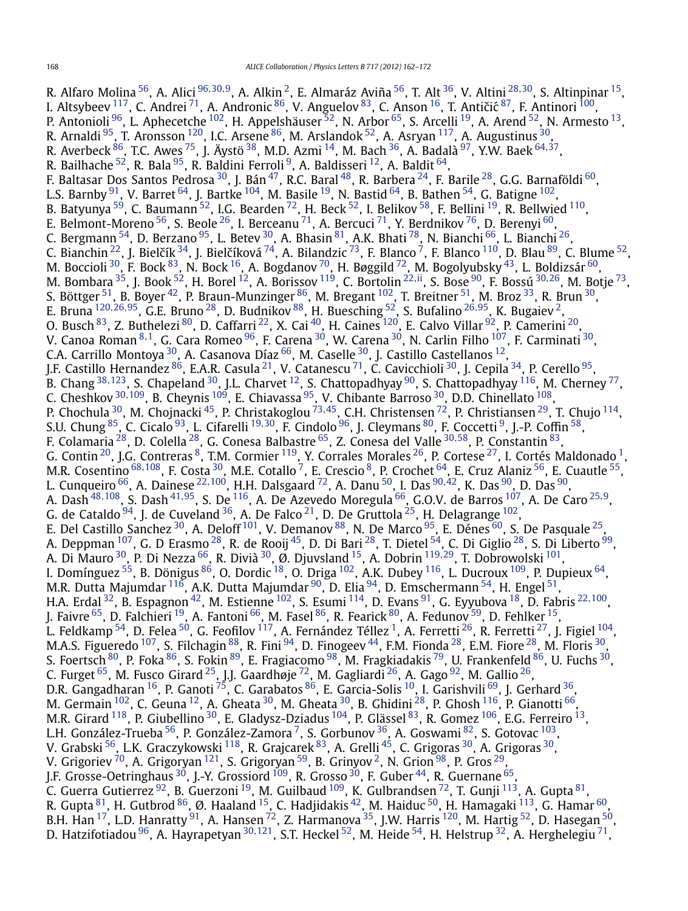R. Alfaro Molina [56,](#page-9-0) A. Alici [96](#page-10-0)*,*[30](#page-9-0)*,*[9,](#page-8-0) A. Alkin [2,](#page-8-0) E. Almaráz Aviña [56,](#page-9-0) T. Alt [36,](#page-9-0) V. Altini [28](#page-9-0)*,*[30,](#page-9-0) S. Altinpinar [15,](#page-9-0) I. Altsybeev  $^{117}$ , C. Andrei  $^{71}$ , A. Andronic  $^{86}$ , V. Anguelov  $^{83}$ , C. Anson  $^{16}$ , T. Antičić  $^{87}$ , F. Antinori  $^{100}$ , P. Antonioli <sup>96</sup>, L. Aphecetche <sup>102</sup>, H. Appelshäuser <sup>52</sup>, N. Arbor <sup>65</sup>, S. Arcelli <sup>19</sup>, A. Arend <sup>52</sup>, N. Armesto <sup>[13](#page-8-0)</sup>, R. Arnaldi  $^{95}$ , T. Aronsson  $^{120}$ , I.C. Arsene  $^{86}$ , M. Arslandok  $^{52}$ , A. Asryan  $^{117}$ , A. Augustinus  $^{30}$ , R. Averbeck [86,](#page-9-0) T.C. Awes [75,](#page-9-0) J. Äystö [38,](#page-9-0) M.D. Azmi [14,](#page-8-0) M. Bach [36,](#page-9-0) A. Badalà [97,](#page-10-0) Y.W. Baek [64](#page-9-0)*,*[37,](#page-9-0) R. Bailhache <sup>52</sup>, R. Bala <sup>95</sup>, R. Baldini Ferroli <sup>9</sup>, A. Baldisseri <sup>12</sup>, A. Baldit <sup>64</sup>, F. Baltasar Dos Santos Pedrosa  $^{30}$ , J. Bán  $^{47}$ , R.C. Baral  $^{48}$ , R. Barbera  $^{24}$  $^{24}$  $^{24}$ , F. Barile  $^{28}$ , G.G. Barnaföldi  $^{60}$ , L.S. Barnby  $^{91}$ , V. Barret  $^{64}$  $^{64}$  $^{64}$ , J. Bartke  $^{104}$ , M. Basile  $^{19}$ , N. Bastid  $^{64}$ , B. Bathen  $^{54}$ , G. Batigne  $^{102}$  $^{102}$  $^{102}$ , B. Batyunya  $^{59}$ , C. Baumann  $^{52}$  $^{52}$  $^{52}$ , I.G. Bearden  $^{72}$ , H. Beck  $^{52}$ , I. Belikov  $^{58}$ , F. Bellini  $^{19}$ , R. Bellwied  $^{110}$ , E. Belmont-Moreno  $^{56}$ , S. Beole  $^{26}$ , I. Berceanu  $^{71}$ , A. Bercuci  $^{71}$ , Y. Berdnikov  $^{76}$ , D. Berenyi  $^{60}$ , C. Bergmann <sup>54</sup>, D. Berzano <sup>95</sup>, L. Betev <sup>[30](#page-9-0)</sup>, A. Bhasin <sup>[81](#page-9-0)</sup>, A.K. Bhati <sup>78</sup>, N. Bianchi <sup>66</sup>, L. Bianchi <sup>26</sup>, C. Bianchin  $^{22}$ , J. Bielčík  $^{34}$ , J. Bielčíková  $^{74}$ , A. Bilandzic  $^{73}$ , F. Blanco  $^7$ , F. Blanco  $^{110}$ , D. Blau  $^{89}$ , C. Blume  $^{52}$ , M. Boccioli  $^{30}$ , F. Bock  $^{83}$ , N. Bock  $^{16}$ , A. Bogdanov  $^{70}$ , H. Bøggild  $^{72}$ , M. Bogolyubsky  $^{43}$ , L. Boldizsár  $^{60}$ , M. Bombara [35](#page-9-0), J. Book [52,](#page-9-0) H. Borel [12,](#page-8-0) A. Borissov [119,](#page-10-0) C. Bortolin [22](#page-9-0)*,*[ii,](#page-10-0) S. Bose [90,](#page-9-0) F. Bossú [30](#page-9-0)*,*[26,](#page-9-0) M. Botje [73,](#page-9-0) S. Böttger  $^{51}$  $^{51}$  $^{51}$ , B. Boyer  $^{42}$ , P. Braun-Munzinger  $^{86}$ , M. Bregant  $^{102}$ , T. Breitner  $^{51}$ , M. Broz  $^{33}$ , R. Brun  $^{30}$ , E. Bruna [120](#page-10-0)*,*[26](#page-9-0)*,*[95,](#page-10-0) G.E. Bruno [28,](#page-9-0) D. Budnikov [88,](#page-9-0) H. Buesching [52,](#page-9-0) S. Bufalino [26](#page-9-0)*,*[95,](#page-10-0) K. Bugaiev [2,](#page-8-0) O. Busch  $^{83}$ , Z. Buthelezi  $^{80}$ , D. Caffarri  $^{22}$ , X. Cai  $^{40}$ , H. Caines  $^{120}$ , E. Calvo Villar  $^{92}$ , P. Camerini  $^{20}$ , V. Canoa Roman [8](#page-8-0)*,*[1,](#page-8-0) G. Cara Romeo [96,](#page-10-0) F. Carena [30,](#page-9-0) W. Carena [30,](#page-9-0) N. Carlin Filho [107](#page-10-0), F. Carminati [30,](#page-9-0) C.A. Carrillo Montoya $^{\rm 30}$ , A. Casanova Díaz $^{\rm 66}$ , M. Caselle $^{\rm 30}$ , J. Castillo Castellanos  $^{\rm 12}$ , J.F. Castillo Hernandez <sup>86</sup>, E.A.R. Casula <sup>21</sup>, V. Catanescu <sup>71</sup>, C. Cavicchioli <sup>30</sup>, J. Cepila <sup>[34](#page-9-0)</sup>, P. Cerello <sup>95</sup>, B. Chang <sup>[38](#page-9-0),123</sup>, S. Chapeland <sup>30</sup>, J.L. Charvet <sup>12</sup>, S. Chattopadhyay <sup>90</sup>, S. Chattopadhyay <sup>116</sup>, M. Cherney <sup>[77](#page-9-0)</sup>, C. Cheshkov [30](#page-9-0)*,*[109,](#page-10-0) B. Cheynis [109,](#page-10-0) E. Chiavassa [95,](#page-10-0) V. Chibante Barroso [30,](#page-9-0) D.D. Chinellato [108,](#page-10-0) P. Chochula [30,](#page-9-0) M. Chojnacki [45,](#page-9-0) P. Christakoglou [73](#page-9-0)*,*[45,](#page-9-0) C.H. Christensen [72](#page-9-0), P. Christiansen [29,](#page-9-0) T. Chujo [114,](#page-10-0) S.U. Chung [85,](#page-9-0) C. Cicalo [93,](#page-9-0) L. Cifarelli [19](#page-9-0)*,*[30,](#page-9-0) F. Cindolo [96](#page-10-0), J. Cleymans [80,](#page-9-0) F. Coccetti [9,](#page-8-0) J.-P. Coffin [58,](#page-9-0) F. Colamaria [28,](#page-9-0) D. Colella [28,](#page-9-0) G. Conesa Balbastre [65,](#page-9-0) Z. Conesa del Valle [30](#page-9-0)*,*[58,](#page-9-0) P. Constantin [83,](#page-9-0) G. Contin <sup>20</sup>, J.G. Contreras  $^8$ , T.M. Cormier  $^{119}$ , Y. Corrales Morales  $^{26}$ , P. Cortese  $^{27}$ , I. Cortés Maldonado  $^1$ , M.R. Cosentino [68](#page-9-0)*,*[108](#page-10-0), F. Costa [30,](#page-9-0) M.E. Cotallo [7,](#page-8-0) E. Crescio [8](#page-8-0), P. Crochet [64,](#page-9-0) E. Cruz Alaniz [56,](#page-9-0) E. Cuautle [55,](#page-9-0) L. Cunqueiro [66,](#page-9-0) A. Dainese [22](#page-9-0)*,*[100,](#page-10-0) H.H. Dalsgaard [72,](#page-9-0) A. Danu [50,](#page-9-0) I. Das [90](#page-9-0)*,*[42,](#page-9-0) K. Das [90,](#page-9-0) D. Das [90,](#page-9-0) A. Dash [48](#page-9-0)*,*[108](#page-10-0), S. Dash [41](#page-9-0)*,*[95,](#page-10-0) S. De [116](#page-10-0), A. De Azevedo Moregula [66,](#page-9-0) G.O.V. de Barros [107,](#page-10-0) A. De Caro [25](#page-9-0)*,*[9,](#page-8-0) G. de Cataldo  $^{94}$ , J. de Cuveland  $^{36}$  $^{36}$  $^{36}$ , A. De Falco  $^{21}$ , D. De Gruttola  $^{25}$ , H. Delagrange  $^{102}$ , E. Del Castillo Sanchez  $^{30}$ , A. Deloff  $^{101}$ , V. Demanov  $^{88}$ , N. De Marco  $^{95}$ , E. Dénes  $^{60}$ , S. De Pasquale  $^{25},$ A. Deppman <sup>[107](#page-10-0)</sup>, G. D Erasmo <sup>[28](#page-9-0)</sup>, R. de Rooij <sup>45</sup>, D. Di Bari <sup>28</sup>, T. Dietel <sup>54</sup>, C. Di Giglio <sup>28</sup>, S. Di Liberto <sup>99</sup>, A. Di Mauro [30,](#page-9-0) P. Di Nezza [66,](#page-9-0) R. Divià [30,](#page-9-0) Ø. Djuvsland [15,](#page-9-0) A. Dobrin [119](#page-10-0)*,*[29,](#page-9-0) T. Dobrowolski [101,](#page-10-0) I. Domínguez  $^{55}$ , B. Dönigus  $^{86}$ , O. Dordic  $^{18}$ , O. Driga  $^{102}$ , A.K. Dubey  $^{116}$ , L. Ducroux  $^{109}$  $^{109}$  $^{109}$ , P. Dupieux  $^{64}$ , M.R. Dutta Majumdar  $^{116}$ , A.K. Dutta Majumdar  $^{90}$ , D. Elia  $^{94}$ , D. Emschermann  $^{54}$ , H. Engel  $^{51}$ , H.A. Erdal [32,](#page-9-0) B. Espagnon [42,](#page-9-0) M. Estienne [102,](#page-10-0) S. Esumi [114,](#page-10-0) D. Evans [91,](#page-9-0) G. Eyyubova [18,](#page-9-0) D. Fabris [22](#page-9-0)*,*[100,](#page-10-0) J. Faivre <sup>[65](#page-9-0)</sup>, D. Falchieri <sup>19</sup>, A. Fantoni <sup>66</sup>, M. Fasel <sup>[86](#page-9-0)</sup>, R. Fearick <sup>80</sup>, A. Fedunov <sup>59</sup>, D. Fehlker <sup>15</sup>, L. Feldkamp <sup>54</sup>, D. Felea <sup>50</sup>, G. Feofilov <sup>[1](#page-8-0)17</sup>, A. Fernández Téllez <sup>1</sup>, A. Ferretti <sup>26</sup>, R. Ferretti <sup>27</sup>, J. Figiel <sup>104</sup>, M.A.S. Figueredo  $^{107}$ , S. Filchagin  $^{88}$ , R. Fini  $^{94}$ , D. Finogeev  $^{44}$ , F.M. Fionda  $^{28}$ , E.M. Fiore  $^{28}$ , M. Floris  $^{30}$ , S. Foertsch <sup>80</sup>, P. Foka <sup>86</sup>, S. Fokin <sup>89</sup>, E. Fragiacomo <sup>98</sup>, M. Fragkiadakis <sup>[79](#page-9-0)</sup>, U. Frankenfeld <sup>86</sup>, U. Fuchs <sup>30</sup>, C. Furget  $^{65}$ , M. Fusco Girard  $^{25}$  $^{25}$  $^{25}$ , J.J. Gaardhøje  $^{72}$ , M. Gagliardi  $^{26}$ , A. Gago  $^{92}$ , M. Gallio  $^{26}$ , D.R. Gangadharan  $^{16}$ , P. Ganoti  $^{75}$ , C. Garabatos  $^{86}$ , E. Garcia-Solis  $^{10}$ , I. Garishvili  $^{69}$ , J. Gerhard  $^{36}$ , M. Germain  $^{102}$ , C. Geuna  $^{12}$ , A. Gheata  $^{30}$ , M. Gheata  $^{30}$ , B. Ghidini  $^{28}$ , P. Ghosh  $^{116}$ , P. Gianotti  $^{66}$ , M.R. Girard  $^{118}$  $^{118}$  $^{118}$ , P. Giubellino  $^{30}$ , E. Gladysz-Dziadus  $^{104}$  $^{104}$  $^{104}$ , P. Glässel  $^{83}$ , R. Gomez  $^{106}$ , E.G. Ferreiro  $^{13}$ , L.H. González-Trueba <sup>56</sup>, P. González-Zamora <sup>7</sup>, S. Gorbunov <sup>36</sup>, A. Goswami <sup>82</sup>, S. Gotovac <sup>103</sup>, V. Grabski <sup>56</sup>, L.K. Graczykowski <sup>118</sup>, R. Grajcarek <sup>83</sup>, A. Grelli <sup>45</sup>, C. Grigoras <sup>30</sup>, A. Grigoras <sup>30</sup>, V. Grigoriev  $^{70}$ , A. Grigoryan  $^{121}$ , S. Grigoryan  $^{59}$ , B. Grinyov  $^2$ , N. Grion  $^{98}$ , P. Gros  $^{29}$  $^{29}$  $^{29}$ , J.F. Grosse-Oetringhaus <sup>30</sup>, J.-Y. Grossiord <sup>109</sup>, R. Grosso <sup>30</sup>, F. Guber <sup>44</sup>, R. Guernane <sup>65</sup>, C. Guerra Gutierrez  $^{92}$ , B. Guerzoni  $^{19}$ , M. Guilbaud  $^{109}$ , K. Gulbrandsen  $^{72}$ , T. Gunji  $^{113}$ , A. Gupta  $^{81}$ , R. Gupta  $^{81}$ , H. Gutbrod  $^{86}$ , Ø. Haaland  $^{15}$ , C. Hadjidakis  $^{42}$ , M. Haiduc  $^{50}$ , H. Hamagaki  $^{113}$ , G. Hamar  $^{60}$ , B.H. Han  $^{17}$ , L.D. Hanratty  $^{91}$  $^{91}$  $^{91}$ , A. Hansen  $^{72}$  $^{72}$  $^{72}$ , Z. Harmanova  $^{35}$ , J.W. Harris  $^{120}$ , M. Hartig  $^{52}$ , D. Hasegan  $^{50}$ , D. Hatzifotiadou [96,](#page-10-0) A. Hayrapetyan [30](#page-9-0)*,*[121,](#page-10-0) S.T. Heckel [52,](#page-9-0) M. Heide [54,](#page-9-0) H. Helstrup [32,](#page-9-0) A. Herghelegiu [71,](#page-9-0)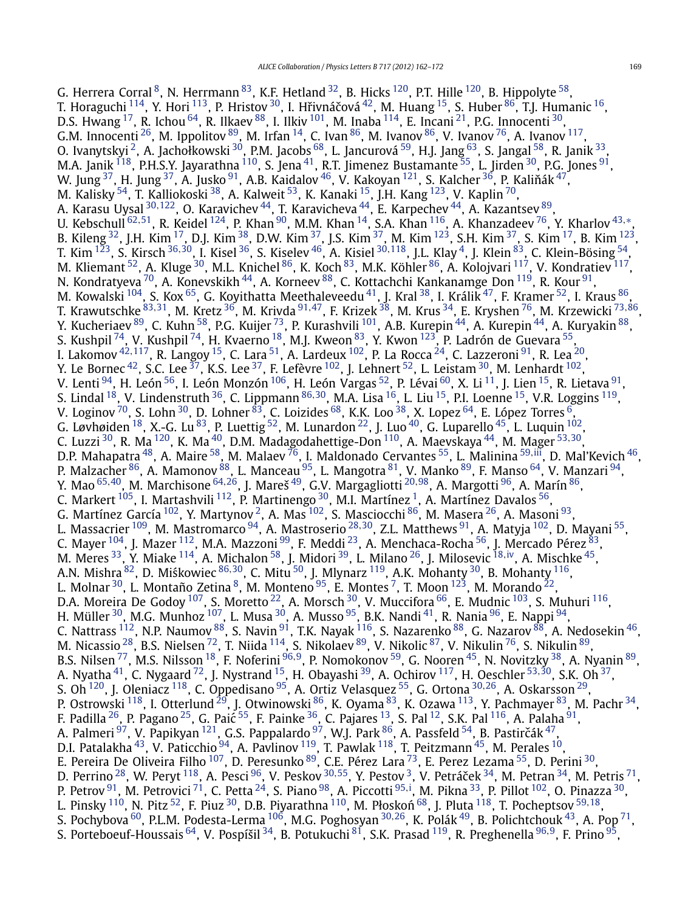G. Herrera Corral<sup>8</sup>, N. Herrmann<sup>83</sup>, K.F. Hetland <sup>32</sup>, B. Hicks <sup>120</sup>, P.T. Hille <sup>120</sup>, B. Hippolyte <sup>58</sup>, T. Horaguchi <sup>114</sup>, Y. Hori <sup>113</sup>, P. Hristov <sup>30</sup>, I. Hřivnáčová <sup>42</sup>, M. Huang <sup>[15](#page-9-0)</sup>, S. Huber <sup>86</sup>, T.J. Humanic <sup>16</sup>, D.S. Hwang  $^{17}$ , R. Ichou  $^{64}$ , R. Ilkaev  $^{88}$ , I. Ilkiv  $^{101}$ , M. Inaba  $^{114}$ , E. Incani  $^{21}$ , P.G. Innocenti  $^{30}$ , G.M. Innocenti  $^{26}$ , M. Ippolitov  $^{89}$ , M. Irfan  $^{14}$ , C. Ivan  $^{86}$ , M. Ivanov  $^{86}$ , V. Ivanov  $^{76}$ , A. Ivanov  $^{117}$ , O. Ivanytskyi <sup>[2](#page-8-0)</sup>, A. Jachołkowski <sup>[30](#page-9-0)</sup>, P.M. Jacobs <sup>68</sup>, L. Jancurová <sup>59</sup>, H.J. Jang <sup>63</sup>, S. Jangal <sup>[58](#page-9-0)</sup>, R. Janik <sup>33</sup>, M.A. Janik  $^{118}$ , P.H.S.Y. Jayarathna  $^{110}$  $^{110}$  $^{110}$ , S. Jena $^{41}$ , R.T. Jimenez Bustamante  $^{55}$ , L. Jirden  $^{30}$ , P.G. Jones  $^{91}$ , W. Jung  $37$ , H. Jung  $37$ , A. Jusko  $91$ , A.B. Kaidalov  $46$ , V. Kakoyan  $121$ , S. Kalcher  $36$ , P. Kalinák  $47$ , M. Kalisky  $^{54}$ , T. Kalliokoski  $^{38}$ , A. Kalweit  $^{53}$ , K. Kanaki  $^{15}$ , J.H. Kang  $^{123}$ , V. Kaplin  $^{70}$ , A. Karasu Uysal [30](#page-9-0)*,*[122](#page-10-0), O. Karavichev [44,](#page-9-0) T. Karavicheva [44,](#page-9-0) E. Karpechev [44,](#page-9-0) A. Kazantsev [89,](#page-9-0) U. Kebschull [62](#page-9-0)*,*[51,](#page-9-0) R. Keidel [124,](#page-10-0) P. Khan [90,](#page-9-0) M.M. Khan [14,](#page-8-0) S.A. Khan [116,](#page-10-0) A. Khanzadeev [76,](#page-9-0) Y. Kharlov [43](#page-9-0)*,*[∗](#page-10-0), B. Kileng  $^{32}$ , J.H. Kim  $^{17}$ , D.J. Kim  $^{38}$ , D.W. Kim  $^{37}$  $^{37}$  $^{37}$ , J.S. Kim  $^{37}$ , M. Kim  $^{123}$  $^{123}$  $^{123}$ , S.H. Kim  $^{37}$ , S. Kim  $^{17}$ , B. Kim  $^{123}$ , T. Kim [123,](#page-10-0) S. Kirsch [36](#page-9-0)*,*[30,](#page-9-0) I. Kisel [36,](#page-9-0) S. Kiselev [46,](#page-9-0) A. Kisiel [30](#page-9-0)*,*[118,](#page-10-0) J.L. Klay [4,](#page-8-0) J. Klein [83,](#page-9-0) C. Klein-Bösing [54,](#page-9-0) M. Kliemant  $^{52}$ , A. Kluge  $^{30}$ , M.L. Knichel  $^{86}$ , K. Koch  $^{83}$ , M.K. Köhler  $^{86}$ , A. Kolojvari  $^{117}$ , V. Kondratiev  $^{117}$ , N. Kondratyeva <sup>70</sup>, A. Konevskikh <sup>44</sup>, A. Korneev <sup>88</sup>, C. Kottachchi Kankanamge Don <sup>119</sup>, R. Kour <sup>91</sup>, N. Kour<sup>91</sup>, M. Kowalski  $^{104}$ , S. Kox  $^{65}$ , G. Koyithatta Meethaleveedu  $^{41}$ , J. Kral  $^{38}$ , I. Králik  $^{47}$ , F. Kramer  $^{52}$ , I. Kraus  $^{86}$ , T. Krawutschke [83](#page-9-0)*,*[31,](#page-9-0) M. Kretz [36,](#page-9-0) M. Krivda [91](#page-9-0)*,*[47,](#page-9-0) F. Krizek [38,](#page-9-0) M. Krus [34,](#page-9-0) E. Kryshen [76,](#page-9-0) M. Krzewicki [73](#page-9-0)*,*[86,](#page-9-0) Y. Kucheriaev <sup>89</sup>, C. Kuhn <sup>58</sup>, P.G. Kuijer <sup>73</sup>, P. Kurashvili <sup>101</sup>, A.B. Kurepin <sup>44</sup>, A. Kurepin <sup>44</sup>, A. Kuryakin <sup>88</sup>, S. Kushpil <sup>74</sup>, V. Kushpil <sup>74</sup>, H. Kvaerno <sup>18</sup>, M.J. Kweon <sup>83</sup>, Y. Kwon <sup>123</sup>, P. Ladrón de Guevara <sup>55</sup>, I. Lakomov [42](#page-9-0)*,*[117,](#page-10-0) R. Langoy [15,](#page-9-0) C. Lara [51,](#page-9-0) A. Lardeux [102,](#page-10-0) P. La Rocca [24,](#page-9-0) C. Lazzeroni [91,](#page-9-0) R. Lea [20,](#page-9-0) Y. Le Bornec  $^{42}$ , S.C. Lee  $^{37}$ , K.S. Lee  $^{37}$ , F. Lefèvre  $^{102}$ , J. Lehnert  $^{52}$ , L. Leistam  $^{30}$ , M. Lenhardt  $^{102}$ , V. Lenti <sup>94</sup>, H. León <sup>56</sup>, I. León Monzón <sup>106</sup>, H. León Vargas <sup>52</sup>, P. Lévai <sup>60</sup>, X. Li <sup>11</sup>, J. Lien <sup>15</sup>, R. Lietava <sup>91</sup>, S. Lindal [18,](#page-9-0) V. Lindenstruth [36,](#page-9-0) C. Lippmann [86](#page-9-0)*,*[30](#page-9-0), M.A. Lisa [16,](#page-9-0) L. Liu [15](#page-9-0), P.I. Loenne [15,](#page-9-0) V.R. Loggins [119,](#page-10-0) V. Loginov  $^{70}$ , S. Lohn  $^{30}$ , D. Lohner  $^{83}$ , C. Loizides  $^{68}$ , K.K. Loo  $^{38}$ , X. Lopez  $^{64}$ , E. López Torres  $^6$ , G. Løvhøiden  $^{18}$ , X.-G. Lu  $^{83}$ , P. Luettig  $^{52}$ , M. Lunardon  $^{22}$ , J. Luo  $^{40}$ , G. Luparello  $^{45}$ , L. Luquin  $^{102}$ , C. Luzzi [30,](#page-9-0) R. Ma [120,](#page-10-0) K. Ma [40,](#page-9-0) D.M. Madagodahettige-Don [110,](#page-10-0) A. Maevskaya [44,](#page-9-0) M. Mager [53](#page-9-0)*,*[30,](#page-9-0) D.P. Mahapatra [48,](#page-9-0) A. Maire [58](#page-9-0), M. Malaev [76,](#page-9-0) I. Maldonado Cervantes [55,](#page-9-0) L. Malinina [59](#page-9-0)*,*[iii,](#page-10-0) D. Mal'Kevich [46,](#page-9-0) P. Malzacher <sup>[86](#page-9-0)</sup>, A. Mamonov <sup>88</sup>, L. Manceau <sup>95</sup>, L. Mangotra <sup>81</sup>, V. Manko <sup>89</sup>, F. Manso <sup>64</sup>, V. Manzari <sup>94</sup>, Y. Mao [65](#page-9-0)*,*[40,](#page-9-0) M. Marchisone [64](#page-9-0)*,*[26](#page-9-0), J. Mareš [49,](#page-9-0) G.V. Margagliotti [20](#page-9-0)*,*[98,](#page-10-0) A. Margotti [96,](#page-10-0) A. Marín [86](#page-9-0), C. Markert  $^{105}$ , I. Martashvili  $^{112}$ , P. Martinengo  $^{30}$ , M.I. Martínez  $^1$ , A. Martínez Davalos  $^{56}$ , G. Martínez García  $^{102}$ , Y. Martynov  $^2$ , A. Mas  $^{102}$ , S. Masciocchi  $^{86}$ , M. Masera  $^{26}$ , A. Masoni  $^{93}$ , L. Massacrier [109,](#page-10-0) M. Mastromarco [94,](#page-10-0) A. Mastroserio [28](#page-9-0)*,*[30,](#page-9-0) Z.L. Matthews [91,](#page-9-0) A. Matyja [102,](#page-10-0) D. Mayani [55,](#page-9-0) C. Mayer  $^{104}$ , J. Mazer  $^{112}$  $^{112}$  $^{112}$ , M.A. Mazzoni  $^{99}$ , F. Meddi  $^{23}$ , A. Menchaca-Rocha  $^{56}$ , J. Mercado Pérez  $^{83}$ , M. Meres [33,](#page-9-0) Y. Miake [114,](#page-10-0) A. Michalon [58,](#page-9-0) J. Midori [39,](#page-9-0) L. Milano [26](#page-9-0), J. Milosevic [18](#page-9-0)*,*[iv,](#page-10-0) A. Mischke [45,](#page-9-0) A.N. Mishra <sup>82</sup>, D. Miśkowiec <sup>[86](#page-9-0),30</sup>, C. Mitu <sup>50</sup>, J. Mlynarz <sup>119</sup>, A.K. Mohanty <sup>30</sup>, B. Mohanty <sup>116</sup>, L. Molnar  $^{30}$  $^{30}$  $^{30}$ , L. Montaño Zetina  $^8$ , M. Monteno  $^{95}$ , E. Montes  $^7$ , T. Moon  $^{123}$ , M. Morando  $^{22}$ , D.A. Moreira De Godoy  $^{107}$  $^{107}$  $^{107}$ , S. Moretto  $^{22}$ , A. Morsch  $^{30}$ , V. Muccifora  $^{66}$ , E. Mudnic  $^{103}$ , S. Muhuri  $^{116}$  $^{116}$  $^{116}$ , H. Müller <sup>[30](#page-9-0)</sup>, M.G. Munhoz <sup>[107](#page-10-0)</sup>, L. Musa <sup>30</sup>, A. Musso <sup>95</sup>, B.K. Nandi <sup>41</sup>, R. Nania <sup>96</sup>, E. Nappi <sup>94</sup>, C. Nattrass  $^{112}$ , N.P. Naumov  $^{88}$ , S. Navin  $^{91}$ , T.K. Nayak  $^{116}$ , S. Nazarenko  $^{88}$ , G. Nazarov  $^{88}$ , A. Nedosekin  $^{46}$ , M. Nicassio  $^{28}$ , B.S. Nielsen  $^{72}$ , T. Niida  $^{114}$ , S. Nikolaev  $^{89}$ , V. Nikolic  $^{87}$ , V. Nikulin  $^{76}$  $^{76}$  $^{76}$ , S. Nikulin  $^{89}$ , M. B.S. Nilsen [77,](#page-9-0) M.S. Nilsson [18,](#page-9-0) F. Noferini [96](#page-10-0)*,*[9,](#page-8-0) P. Nomokonov [59,](#page-9-0) G. Nooren [45,](#page-9-0) N. Novitzky [38,](#page-9-0) A. Nyanin [89,](#page-9-0) A. Nyatha [41,](#page-9-0) C. Nygaard [72,](#page-9-0) J. Nystrand [15,](#page-9-0) H. Obayashi [39](#page-9-0), A. Ochirov [117](#page-10-0), H. Oeschler [53](#page-9-0)*,*[30,](#page-9-0) S.K. Oh [37,](#page-9-0) S. Oh [120,](#page-10-0) J. Oleniacz [118,](#page-10-0) C. Oppedisano [95,](#page-10-0) A. Ortiz Velasquez [55](#page-9-0), G. Ortona [30](#page-9-0)*,*[26,](#page-9-0) A. Oskarsson [29,](#page-9-0) P. Ostrowski  $^{118}$  $^{118}$  $^{118}$ , I. Otterlund  $^{29}$ , J. Otwinowski  $^{86}$ , K. Oyama  $^{83}$ , K. Ozawa  $^{113}$ , Y. Pachmayer  $^{83}$ , M. Pachr  $^{34}$ , F. Padilla  $^{26}$ , P. Pagano  $^{25}$  $^{25}$  $^{25}$ , G. Paić  $^{55}$ , F. Painke  $^{36}$ , C. Pajares  $^{13}$ , S. Pal  $^{12}$ , S.K. Pal  $^{116}$ , A. Palaha  $^{91}$ , A. Palmeri <sup>97</sup>, V. Papikyan <sup>121</sup>, G.S. Pappalardo <sup>97</sup>, W.J. Park <sup>86</sup>, A. Passfeld <sup>54</sup>, B. Pastirčák <sup>47</sup>, D.I. Patalakha $^{43}$ , V. Paticchio $^{94}$ , A. Pavlinov  $^{119}$ , T. Pawlak  $^{118}$  $^{118}$  $^{118}$ , T. Peitzmann $^{45}$ , M. Perales  $^{10}$ , E. Pereira De Oliveira Filho <sup>107</sup>, D. Peresunko <sup>89</sup>, C.E. Pérez Lara <sup>73</sup>, E. Perez Lezama <sup>[55](#page-9-0)</sup>, D. Perini <sup>30</sup>, D. Perrino <sup>28</sup>, W. Peryt <sup>118</sup>, A. Pesci <sup>96</sup>, V. Peskov <sup>[30](#page-9-0),55</sup>, Y. Pestov <sup>3</sup>, V. Petráček <sup>[34](#page-9-0)</sup>, M. Petran <sup>34</sup>, M. Petris <sup>71</sup>, P. Petrov <sup>91</sup>, M. Petrovici <sup>71</sup>, C. Petta <sup>24</sup>, S. Piano <sup>98</sup>, A. Piccotti <sup>[95](#page-10-0),[i](#page-10-0)</sup>, M. Pikna <sup>33</sup>, P. Pillot <sup>102</sup>, O. Pinazza <sup>30</sup>, L. Pinsky [110,](#page-10-0) N. Pitz [52,](#page-9-0) F. Piuz [30,](#page-9-0) D.B. Piyarathna [110,](#page-10-0) M. Płoskon´ [68,](#page-9-0) J. Pluta [118,](#page-10-0) T. Pocheptsov [59](#page-9-0)*,*[18,](#page-9-0) S. Pochybova [60,](#page-9-0) P.L.M. Podesta-Lerma [106,](#page-10-0) M.G. Poghosyan [30](#page-9-0)*,*[26,](#page-9-0) K. Polák [49,](#page-9-0) B. Polichtchouk [43](#page-9-0), A. Pop [71,](#page-9-0) S. Porteboeuf-Houssais [64,](#page-9-0) V. Pospíšil [34,](#page-9-0) B. Potukuchi [81,](#page-9-0) S.K. Prasad [119,](#page-10-0) R. Preghenella [96](#page-10-0)*,*[9](#page-8-0), F. Prino [95](#page-10-0),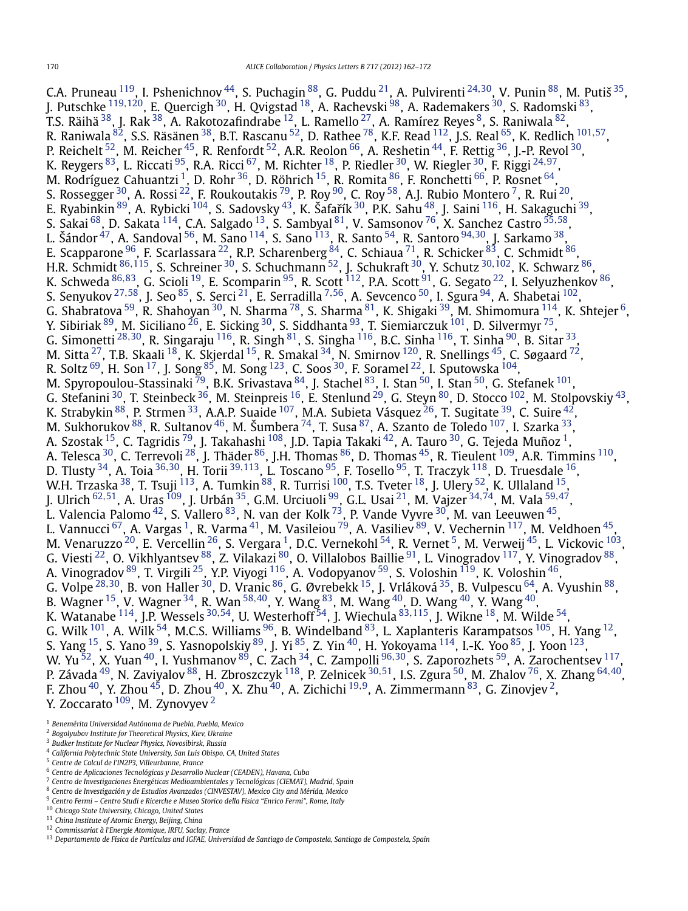<span id="page-8-0"></span>C.A. Pruneau [119,](#page-10-0) I. Pshenichnov [44,](#page-9-0) S. Puchagin [88,](#page-9-0) G. Puddu [21,](#page-9-0) A. Pulvirenti [24](#page-9-0)*,*[30,](#page-9-0) V. Punin [88,](#page-9-0) M. Putiš [35,](#page-9-0) J. Putschke [119](#page-10-0)*,*[120,](#page-10-0) E. Quercigh [30,](#page-9-0) H. Qvigstad [18,](#page-9-0) A. Rachevski [98,](#page-10-0) A. Rademakers [30](#page-9-0), S. Radomski [83,](#page-9-0) T.S. Räihä $^{38}$ , J. Rak $^{38}$ , A. Rakotozafindrabe  $^{12}$ , L. Ramello $^{27}$ , A. Ramírez Reyes $^8$ , S. Raniwala $^{82}$ , R. Raniwala [82,](#page-9-0) S.S. Räsänen [38,](#page-9-0) B.T. Rascanu [52](#page-9-0), D. Rathee [78,](#page-9-0) K.F. Read [112,](#page-10-0) J.S. Real [65,](#page-9-0) K. Redlich [101](#page-10-0)*,*[57,](#page-9-0) P. Reichelt  $^{52}$ , M. Reicher  $^{45}$ , R. Renfordt  $^{52}$ , A.R. Reolon  $^{66}$ , A. Reshetin  $^{44}$ , F. Rettig  $^{36}$ , J.-P. Revol  $^{30}$ , K. Reygers [83,](#page-9-0) L. Riccati [95,](#page-10-0) R.A. Ricci [67,](#page-9-0) M. Richter [18,](#page-9-0) P. Riedler [30,](#page-9-0) W. Riegler [30,](#page-9-0) F. Riggi [24](#page-9-0)*,*[97](#page-10-0), M. Rodríguez Cahuantzi  $^1$ , D. Rohr $^{\rm 36}$ , D. Röhrich  $^{\rm 15}$ , R. Romita  $^{\rm 86}$ , F. Ronchetti  $^{\rm 66}$ , P. Rosnet  $^{\rm 64}$ , S. Rossegger  $^{30}$ , A. Rossi  $^{22}$ , F. Roukoutakis  $^{79}$ , P. Roy  $^{90}$ , C. Roy  $^{58}$  $^{58}$  $^{58}$ , A.J. Rubio Montero  $^7$ , R. Rui  $^{20}$  $^{20}$  $^{20}$ , E. Ryabinkin <sup>89</sup>, A. Rybicki <sup>104</sup>, S. Sadovsky <sup>[43](#page-9-0)</sup>, K. Šafařík <sup>30</sup>, P.K. Sahu <sup>[48](#page-9-0)</sup>, J. Saini <sup>116</sup>, H. Sakaguchi <sup>39</sup>, S. Sakai [68,](#page-9-0) D. Sakata [114,](#page-10-0) C.A. Salgado 13, S. Sambyal [81](#page-9-0), V. Samsonov [76,](#page-9-0) X. Sanchez Castro [55](#page-9-0)*,*[58,](#page-9-0) L. Šándor [47,](#page-9-0) A. Sandoval [56,](#page-9-0) M. Sano [114,](#page-10-0) S. Sano [113,](#page-10-0) R. Santo [54,](#page-9-0) R. Santoro [94](#page-10-0)*,*[30,](#page-9-0) J. Sarkamo [38,](#page-9-0) E. Scapparone <sup>[96](#page-10-0)</sup>, F. Scarlassara <sup>22</sup>, R.P. Scharenberg <sup>84</sup>, C. Schiaua <sup>71</sup>, R. Schicker <sup>83</sup>, C. Schmidt <sup>86</sup>, H.R. Schmidt [86](#page-9-0)*,*[115,](#page-10-0) S. Schreiner [30,](#page-9-0) S. Schuchmann [52,](#page-9-0) J. Schukraft [30,](#page-9-0) Y. Schutz [30](#page-9-0)*,*[102,](#page-10-0) K. Schwarz [86,](#page-9-0) K. Schweda <sup>[86](#page-9-0),[83](#page-9-0)</sup>, G. Scioli <sup>[19](#page-9-0)</sup>, E. Scomparin <sup>95</sup>, R. Scott <sup>112</sup>, P.A. Scott <sup>91</sup>, G. Segato <sup>22</sup>, I. Selyuzhenkov <sup>86</sup>, S. Senyukov [27](#page-9-0)*,*[58,](#page-9-0) J. Seo [85,](#page-9-0) S. Serci [21,](#page-9-0) E. Serradilla <sup>7</sup>*,*[56,](#page-9-0) A. Sevcenco [50,](#page-9-0) I. Sgura [94,](#page-10-0) A. Shabetai [102,](#page-10-0) G. Shabratova  $^{59}$ , R. Shahoyan  $^{30}$ , N. Sharma  $^{78}$  $^{78}$  $^{78}$ , S. Sharma  $^{81}$  $^{81}$  $^{81}$ , K. Shigaki  $^{39}$ , M. Shimomura  $^{114}$  $^{114}$  $^{114}$ , K. Shtejer  $^6$ , Y. Sibiriak <sup>89</sup>, M. Siciliano <sup>26</sup>, E. Sicking <sup>30</sup>, S. Siddhanta <sup>93</sup>, T. Siemiarczuk <sup>101</sup>, D. Silvermyr <sup>75</sup>, G. Simonetti [28](#page-9-0)*,*[30,](#page-9-0) R. Singaraju [116,](#page-10-0) R. Singh [81,](#page-9-0) S. Singha [116,](#page-10-0) B.C. Sinha [116,](#page-10-0) T. Sinha [90,](#page-9-0) B. Sitar [33,](#page-9-0) M. Sitta  $^{27}$ , T.B. Skaali  $^{18}$ , K. Skjerdal  $^{15}$ , R. Smakal  $^{34}$ , N. Smirnov  $^{120}$ , R. Snellings  $^{45}$ , C. Søgaard  $^{72}$ , R. Soltz  $^{69}$ , H. Son  $^{17}$ , J. Song  $^{85}$ , M. Song  $^{123}$ , C. Soos  $^{30}$ , F. Soramel  $^{22}$  $^{22}$  $^{22}$ , I. Sputowska  $^{104}$  $^{104}$  $^{104}$ , M. Spyropoulou-Stassinaki  $^{79}$ , B.K. Srivastava  $^{84}$ , J. Stachel  $^{83}$ , I. Stan  $^{50}$ , I. Stan  $^{50}$ , G. Stefanek  $^{101}$ , G. Stefanini  $^{30}$ , T. Steinbeck  $^{36}$ , M. Steinpreis  $^{16}$ , E. Stenlund  $^{29}$ , G. Steyn  $^{80}$ , D. Stocco  $^{102}$ , M. Stolpovskiy  $^{43}$ , K. Strabykin  $^{88}$ , P. Strmen  $^{33}$ , A.A.P. Suaide  $^{107}$ , M.A. Subieta Vásquez  $^{26}$ , T. Sugitate  $^{39}$ , C. Suire  $^{42}$ , M. Sukhorukov $^{88}$ , R. Sultanov $^{46}$  $^{46}$  $^{46}$ , M. Šumbera $^{74}$ , T. Susa $^{87}$  $^{87}$  $^{87}$ , A. Szanto de Toledo $^{107}$ , I. Szarka $^{33}$  $^{33}$  $^{33}$ , A. Szostak  $^{15}$ , C. Tagridis  $^{79}$ , J. Takahashi  $^{108}$  $^{108}$  $^{108}$ , J.D. Tapia Takaki  $^{42}$ , A. Tauro  $^{30}$ , G. Tejeda Muñoz  $^{1},$ A. Telesca <sup>30</sup>, C. Terrevoli <sup>28</sup>, J. Thäder <sup>86</sup>, J.H. Thomas <sup>86</sup>, D. Thomas <sup>45</sup>, R. Tieulent <sup>109</sup>, A.R. Timmins <sup>110</sup>, D. Tlusty [34,](#page-9-0) A. Toia [36](#page-9-0)*,*[30,](#page-9-0) H. Torii [39](#page-9-0)*,*[113,](#page-10-0) L. Toscano [95,](#page-10-0) F. Tosello [95,](#page-10-0) T. Traczyk [118,](#page-10-0) D. Truesdale [16,](#page-9-0) W.H. Trzaska  $^{38}$ , T. Tsuji  $^{113}$ , A. Tumkin  $^{88}$ , R. Turrisi  $^{100}$ , T.S. Tveter  $^{18}$ , J. Ulery  $^{52}$ , K. Ullaland  $^{15}$ , J. Ulrich [62](#page-9-0)*,*[51,](#page-9-0) A. Uras [109,](#page-10-0) J. Urbán [35,](#page-9-0) G.M. Urciuoli [99,](#page-10-0) G.L. Usai [21,](#page-9-0) M. Vajzer [34](#page-9-0)*,*[74,](#page-9-0) M. Vala [59](#page-9-0)*,*[47,](#page-9-0) L. Valencia Palomo $^{42}$ , S. Vallero $^{83}$ , N. van der Kolk $^{73}$ , P. Vande Vyvre $^{30}$ , M. van Leeuwen $^{45},$ L. Vannucci <sup>67</sup>, A. Vargas <sup>1</sup>, R. Varma <sup>41</sup>, M. Vasileiou <sup>79</sup>, A. Vasiliev <sup>89</sup>, V. Vechernin <sup>117</sup>, M. Veldhoen <sup>[45](#page-9-0)</sup>, M. Venaruzzo $^{20}$ , E. Vercellin $^{26}$ , S. Vergara  $^1$ , D.C. Vernekohl  $^{54}$ , R. Vernet  $^5$ , M. Verweij  $^{45}$ , L. Vickovic  $^{103},$ G. Viesti <sup>22</sup>, O. Vikhlyantsev <sup>88</sup>, Z. Vilakazi <sup>80</sup>, O. Villalobos Baillie <sup>91</sup>, L. Vinogradov <sup>[117](#page-10-0)</sup>, Y. Vinogradov <sup>88</sup>, A. Vinogradov <sup>89</sup>, T. Virgili <sup>[25](#page-9-0)</sup>, Y.P. Viyogi <sup>116</sup>, A. Vodopyanov <sup>59</sup>, S. Voloshin <sup>119</sup>, K. Voloshin <sup>46</sup>, G. Volpe [28](#page-9-0)*,*[30,](#page-9-0) B. von Haller [30,](#page-9-0) D. Vranic [86,](#page-9-0) G. Øvrebekk [15,](#page-9-0) J. Vrláková [35,](#page-9-0) B. Vulpescu [64,](#page-9-0) A. Vyushin [88,](#page-9-0) B. Wagner [15,](#page-9-0) V. Wagner [34,](#page-9-0) R. Wan [58](#page-9-0)*,*[40,](#page-9-0) Y. Wang [83,](#page-9-0) M. Wang [40,](#page-9-0) D. Wang [40,](#page-9-0) Y. Wang [40,](#page-9-0) K. Watanabe [114,](#page-10-0) J.P. Wessels [30](#page-9-0)*,*[54,](#page-9-0) U. Westerhoff [54,](#page-9-0) J. Wiechula [83](#page-9-0)*,*[115,](#page-10-0) J. Wikne [18](#page-9-0), M. Wilde [54,](#page-9-0) G. Wilk  $^{101}$  $^{101}$  $^{101}$ , A. Wilk  $^{54}$ , M.C.S. Williams  $^{96}$ , B. Windelband  $^{83}$  $^{83}$  $^{83}$ , L. Xaplanteris Karampatsos  $^{105}$ , H. Yang  $^{12}$ , S. Yang  $^{15}$ , S. Yano  $^{39}$ , S. Yasnopolskiy  $^{89}$ , J. Yi  $^{85}$ , Z. Yin  $^{40}$ , H. Yokoyama  $^{114}$ , I.-K. Yoo  $^{85}$ , J. Yoon  $^{123},$ W. Yu [52,](#page-9-0) X. Yuan [40,](#page-9-0) I. Yushmanov [89,](#page-9-0) C. Zach [34,](#page-9-0) C. Zampolli [96](#page-10-0)*,*[30,](#page-9-0) S. Zaporozhets [59,](#page-9-0) A. Zarochentsev [117,](#page-10-0) P. Závada [49,](#page-9-0) N. Zaviyalov [88,](#page-9-0) H. Zbroszczyk [118,](#page-10-0) P. Zelnicek [30](#page-9-0)*,*[51,](#page-9-0) I.S. Zgura [50,](#page-9-0) M. Zhalov [76,](#page-9-0) X. Zhang [64](#page-9-0)*,*[40](#page-9-0), F. Zhou [40,](#page-9-0) Y. Zhou [45](#page-9-0), D. Zhou [40,](#page-9-0) X. Zhu [40,](#page-9-0) A. Zichichi [19](#page-9-0)*,*9, A. Zimmermann [83,](#page-9-0) G. Zinovjev 2, Y. Zoccarato <sup>109</sup>, M. Zynovyev<sup>2</sup>

<sup>1</sup> *Benemérita Universidad Autónoma de Puebla, Puebla, Mexico*

<sup>2</sup> *Bogolyubov Institute for Theoretical Physics, Kiev, Ukraine*

<sup>3</sup> *Budker Institute for Nuclear Physics, Novosibirsk, Russia*

<sup>4</sup> *California Polytechnic State University, San Luis Obispo, CA, United States*

<sup>5</sup> *Centre de Calcul de l'IN2P3, Villeurbanne, France*

<sup>6</sup> *Centro de Aplicaciones Tecnológicas y Desarrollo Nuclear (CEADEN), Havana, Cuba*

<sup>7</sup> *Centro de Investigaciones Energéticas Medioambientales y Tecnológicas (CIEMAT), Madrid, Spain*

<sup>8</sup> *Centro de Investigación y de Estudios Avanzados (CINVESTAV), Mexico City and Mérida, Mexico*

<sup>9</sup> *Centro Fermi – Centro Studi e Ricerche e Museo Storico della Fisica "Enrico Fermi", Rome, Italy*

<sup>10</sup> *Chicago State University, Chicago, United States*

<sup>11</sup> *China Institute of Atomic Energy, Beijing, China*

<sup>12</sup> *Commissariat à l'Energie Atomique, IRFU, Saclay, France*

<sup>13</sup> *Departamento de Física de Partículas and IGFAE, Universidad de Santiago de Compostela, Santiago de Compostela, Spain*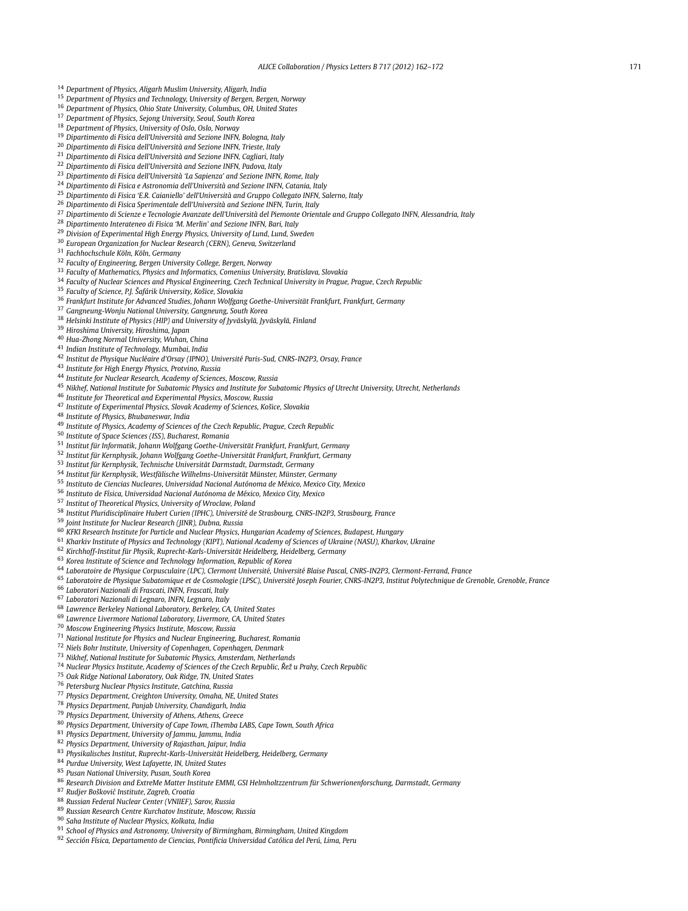*Department of Physics and Technology, University of Bergen, Bergen, Norway Department of Physics, Ohio State University, Columbus, OH, United States Department of Physics, Sejong University, Seoul, South Korea Department of Physics, University of Oslo, Oslo, Norway Dipartimento di Fisica dell'Università and Sezione INFN, Bologna, Italy Dipartimento di Fisica dell'Università and Sezione INFN, Trieste, Italy Dipartimento di Fisica dell'Università and Sezione INFN, Cagliari, Italy Dipartimento di Fisica dell'Università and Sezione INFN, Padova, Italy Dipartimento di Fisica dell'Università 'La Sapienza' and Sezione INFN, Rome, Italy Dipartimento di Fisica e Astronomia dell'Università and Sezione INFN, Catania, Italy Dipartimento di Fisica 'E.R. Caianiello' dell'Università and Gruppo Collegato INFN, Salerno, Italy Dipartimento di Fisica Sperimentale dell'Università and Sezione INFN, Turin, Italy Dipartimento di Scienze e Tecnologie Avanzate dell'Università del Piemonte Orientale and Gruppo Collegato INFN, Alessandria, Italy Dipartimento Interateneo di Fisica 'M. Merlin' and Sezione INFN, Bari, Italy Division of Experimental High Energy Physics, University of Lund, Lund, Sweden European Organization for Nuclear Research (CERN), Geneva, Switzerland Fachhochschule Köln, Köln, Germany Faculty of Engineering, Bergen University College, Bergen, Norway Faculty of Mathematics, Physics and Informatics, Comenius University, Bratislava, Slovakia Faculty of Nuclear Sciences and Physical Engineering, Czech Technical University in Prague, Prague, Czech Republic Faculty of Science, P.J. Šafárik University, Košice, Slovakia Frankfurt Institute for Advanced Studies, Johann Wolfgang Goethe-Universität Frankfurt, Frankfurt, Germany Gangneung-Wonju National University, Gangneung, South Korea Helsinki Institute of Physics (HIP) and University of Jyväskylä, Jyväskylä, Finland Hiroshima University, Hiroshima, Japan Hua-Zhong Normal University, Wuhan, China Indian Institute of Technology, Mumbai, India Institut de Physique Nucléaire d'Orsay (IPNO), Université Paris-Sud, CNRS-IN2P3, Orsay, France Institute for High Energy Physics, Protvino, Russia Institute for Nuclear Research, Academy of Sciences, Moscow, Russia Nikhef, National Institute for Subatomic Physics and Institute for Subatomic Physics of Utrecht University, Utrecht, Netherlands Institute for Theoretical and Experimental Physics, Moscow, Russia Institute of Experimental Physics, Slovak Academy of Sciences, Košice, Slovakia Institute of Physics, Bhubaneswar, India Institute of Physics, Academy of Sciences of the Czech Republic, Prague, Czech Republic Institute of Space Sciences (ISS), Bucharest, Romania Institut für Informatik, Johann Wolfgang Goethe-Universität Frankfurt, Frankfurt, Germany Institut für Kernphysik, Johann Wolfgang Goethe-Universität Frankfurt, Frankfurt, Germany Institut für Kernphysik, Technische Universität Darmstadt, Darmstadt, Germany Institut für Kernphysik, Westfälische Wilhelms-Universität Münster, Münster, Germany Instituto de Ciencias Nucleares, Universidad Nacional Autónoma de México, Mexico City, Mexico Instituto de Física, Universidad Nacional Autónoma de México, Mexico City, Mexico Institut of Theoretical Physics, University of Wroclaw, Poland Institut Pluridisciplinaire Hubert Curien (IPHC), Université de Strasbourg, CNRS-IN2P3, Strasbourg, France Joint Institute for Nuclear Research (JINR), Dubna, Russia KFKI Research Institute for Particle and Nuclear Physics, Hungarian Academy of Sciences, Budapest, Hungary Kharkiv Institute of Physics and Technology (KIPT), National Academy of Sciences of Ukraine (NASU), Kharkov, Ukraine Kirchhoff-Institut für Physik, Ruprecht-Karls-Universität Heidelberg, Heidelberg, Germany*

*Korea Institute of Science and Technology Information, Republic of Korea*

*Laboratoire de Physique Corpusculaire (LPC), Clermont Université, Université Blaise Pascal, CNRS-IN2P3, Clermont-Ferrand, France*

*Laboratoire de Physique Subatomique et de Cosmologie (LPSC), Université Joseph Fourier, CNRS-IN2P3, Institut Polytechnique de Grenoble, Grenoble, France*

*Laboratori Nazionali di Frascati, INFN, Frascati, Italy*

*Laboratori Nazionali di Legnaro, INFN, Legnaro, Italy*

*Lawrence Berkeley National Laboratory, Berkeley, CA, United States*

<span id="page-9-0"></span>*Department of Physics, Aligarh Muslim University, Aligarh, India*

*Lawrence Livermore National Laboratory, Livermore, CA, United States*

*Moscow Engineering Physics Institute, Moscow, Russia*

*National Institute for Physics and Nuclear Engineering, Bucharest, Romania*

*Niels Bohr Institute, University of Copenhagen, Copenhagen, Denmark*

*Nikhef, National Institute for Subatomic Physics, Amsterdam, Netherlands*

*Nuclear Physics Institute, Academy of Sciences of the Czech Republic, Rež u Prahy, Czech Republic ˇ*

*Oak Ridge National Laboratory, Oak Ridge, TN, United States*

*Petersburg Nuclear Physics Institute, Gatchina, Russia*

*Physics Department, Creighton University, Omaha, NE, United States*

 *Physics Department, Panjab University, Chandigarh, India Physics Department, University of Athens, Athens, Greece*

*Physics Department, University of Cape Town, iThemba LABS, Cape Town, South Africa*

*Physics Department, University of Jammu, Jammu, India*

*Physics Department, University of Rajasthan, Jaipur, India*

*Physikalisches Institut, Ruprecht-Karls-Universität Heidelberg, Heidelberg, Germany*

*Purdue University, West Lafayette, IN, United States*

*Pusan National University, Pusan, South Korea*

*Research Division and ExtreMe Matter Institute EMMI, GSI Helmholtzzentrum für Schwerionenforschung, Darmstadt, Germany*

*Rudjer Boškovi´c Institute, Zagreb, Croatia*

*Russian Federal Nuclear Center (VNIIEF), Sarov, Russia*

*Russian Research Centre Kurchatov Institute, Moscow, Russia*

*Saha Institute of Nuclear Physics, Kolkata, India*

*School of Physics and Astronomy, University of Birmingham, Birmingham, United Kingdom*

*Sección Física, Departamento de Ciencias, Pontificia Universidad Católica del Perú, Lima, Peru*